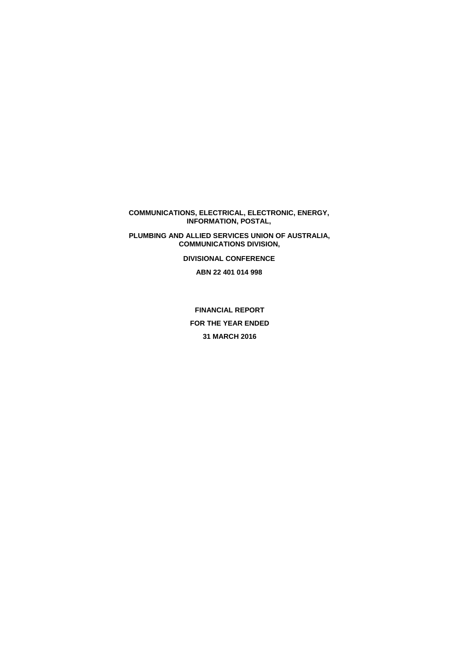**COMMUNICATIONS, ELECTRICAL, ELECTRONIC, ENERGY, INFORMATION, POSTAL,** 

**PLUMBING AND ALLIED SERVICES UNION OF AUSTRALIA, COMMUNICATIONS DIVISION,** 

**DIVISIONAL CONFERENCE** 

**ABN 22 401 014 998** 

**FINANCIAL REPORT FOR THE YEAR ENDED 31 MARCH 2016**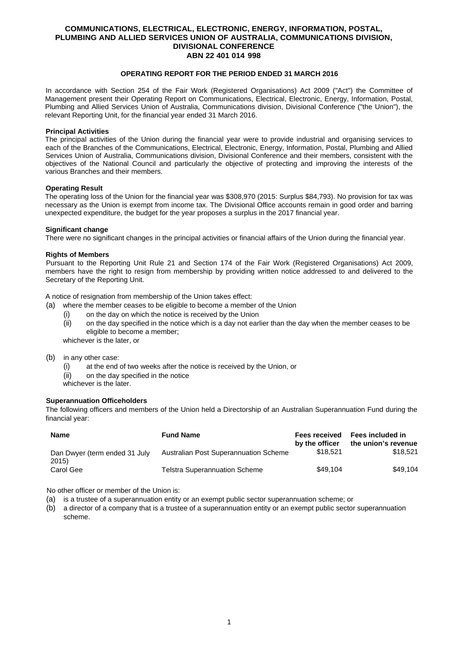# **OPERATING REPORT FOR THE PERIOD ENDED 31 MARCH 2016**

In accordance with Section 254 of the Fair Work (Registered Organisations) Act 2009 ("Act") the Committee of Management present their Operating Report on Communications, Electrical, Electronic, Energy, Information, Postal, Plumbing and Allied Services Union of Australia, Communications division, Divisional Conference ("the Union"), the relevant Reporting Unit, for the financial year ended 31 March 2016.

#### **Principal Activities**

The principal activities of the Union during the financial year were to provide industrial and organising services to each of the Branches of the Communications, Electrical, Electronic, Energy, Information, Postal, Plumbing and Allied Services Union of Australia, Communications division, Divisional Conference and their members, consistent with the objectives of the National Council and particularly the objective of protecting and improving the interests of the various Branches and their members.

### **Operating Result**

The operating loss of the Union for the financial year was \$308,970 (2015: Surplus \$84,793). No provision for tax was necessary as the Union is exempt from income tax. The Divisional Office accounts remain in good order and barring unexpected expenditure, the budget for the year proposes a surplus in the 2017 financial year.

### **Significant change**

There were no significant changes in the principal activities or financial affairs of the Union during the financial year.

### **Rights of Members**

Pursuant to the Reporting Unit Rule 21 and Section 174 of the Fair Work (Registered Organisations) Act 2009, members have the right to resign from membership by providing written notice addressed to and delivered to the Secretary of the Reporting Unit.

A notice of resignation from membership of the Union takes effect:

- (a) where the member ceases to be eligible to become a member of the Union
	- (i) on the day on which the notice is received by the Union
	- (ii) on the day specified in the notice which is a day not earlier than the day when the member ceases to be eligible to become a member;

whichever is the later, or

- (b) in any other case:
	- (i) at the end of two weeks after the notice is received by the Union, or
	- (ii) on the day specified in the notice
	- whichever is the later

### **Superannuation Officeholders**

The following officers and members of the Union held a Directorship of an Australian Superannuation Fund during the financial year:

| <b>Name</b>                            | <b>Fund Name</b>                      | <b>Fees received</b><br>by the officer | Fees included in<br>the union's revenue |
|----------------------------------------|---------------------------------------|----------------------------------------|-----------------------------------------|
| Dan Dwyer (term ended 31 July<br>2015) | Australian Post Superannuation Scheme | \$18.521                               | \$18.521                                |
| Carol Gee                              | <b>Telstra Superannuation Scheme</b>  | \$49.104                               | \$49.104                                |

No other officer or member of the Union is:

- (a) is a trustee of a superannuation entity or an exempt public sector superannuation scheme; or
- (b) a director of a company that is a trustee of a superannuation entity or an exempt public sector superannuation scheme.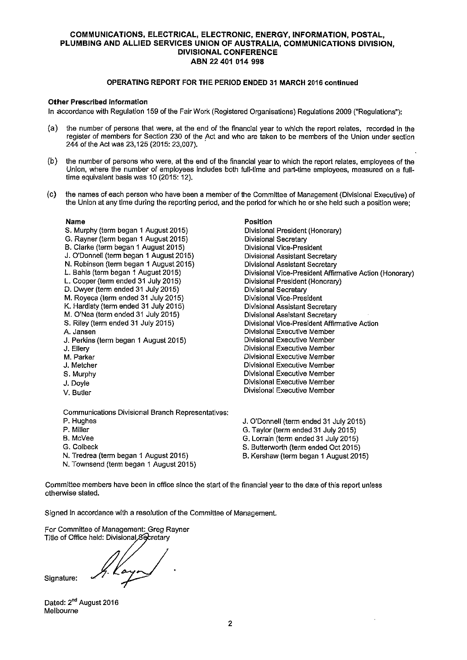## OPERATING REPORT FOR THE PERIOD ENDED 31 MARCH 2016 continued

### Other Prescribed Information

in accordance with Regulation 159 of the Fair Work (Registered Organisations) Regulations 2009 ("Regulations"):

- (a) the number of persons that were, at the end of the financial year to which the report relates, recorded in the register of members for Section 230 of the Act and who are taken to be members of the Union under section 244 of the Act was 23,125 (2015: 23,007).
- (b) the number of persons who were, at the end of the financial year to which the report relates. employees of the Union, where the number of employees indudes both full-time and part-time employees, measured on a fulltime equivalent basis was 10 (2015: 12).
- (0) the names of each person who have been a member of the Committee of Management(Divisional Executive) of the Union at any time during the reporting period, and the period for which he or she held such a position were;

Position

Divisional President (Honorary)

Divisional President(Honorary)

Divisional Executive Member Divisional Executive Member Divisional Executive Member Divisional Executive Member Divisional Executive Member Divisional Executive Member Divisional Executive Member Divisional Executive Member

Divisional Vice-president Affirmative Action

Divisional Vice-President Affirmative Action (Honorary)

Divisional Secretary Divisional Vice-president Divisional Assistant Secretary Divisional Assistant Secretary

Divisional Secretary Divisional Vice-president Divisional Assistant Secretary Divisional Assistant Secretary

#### Name

- S. Murphy (term began I August 2015)
- G. Rayner(term began I August 2015)
- B. Clarke (term began I August 2015)
- J. 0'Donnell(term began I August 2015)
- N. Robinson (term began I August 2015)
- L. Bahls (term began 1 August 2015)
- L. Cooper(term ended 31 July 2015)
- D. Dwyer (term ended 31 July 2015)
- M. Royeca (term ended 31 July 2015)
- K. Hardisty (term ended 31 July 2015)
- M. 0'Nea (term ended 31 July 2015)
- S. Riley (term ended 31 July 2015)
- A. Jansen
- J. Perkins (term began 1 August 2015)
- J. Ellery
- M. Parker
- J. Metcher
- S. Murphy
- J. Doyle
- V. Butler

Communications Divisional Branch Representatives:

- P. Hughes
- P. Miller
- B. MCVee
- G. Colbeck
- N. Tredrea (term began I August 2015)
- N. Townsend (term began 1 August 2015)
- J. O'Donnell (term ended 31 July 2015)
- G. Taylor(term ended 31 July 2015)
- G. Lorrain (term ended 31 July 2015)
- S. Butterworth (term ended Oct 2015)
- B. Kershaw (term began I August 2015)

Committee members have been in office since the start of the financial yearto the date of this report unless otherwise stated,

Signed in accordance with a resolution of the Committee of Management.

For Committee of Management: Greg Rayner<br>Title of Office held: Divisional Secretary

h Kayn Signature:

Dated: 2<sup>nd</sup> August 2016 Melbourne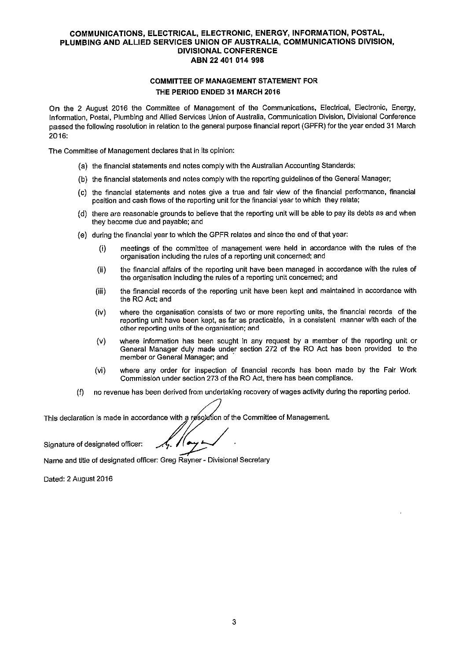# COMMITTEE OF MANAGEMENT STATEMENT FOR THE PERIOD ENDED 31 MARCH 2016

On the 2 August 2016 the Committee of Management of the Communications, Electrical, Electronic, Energy, Information, Postal, Plumbing and Allied Services Union of Australia, Communication Division, Divisional Conference passed the following resolution in relation to the general purpose financial report (GPFR) for the vear ended 31 March 2016:

The Committee of Management declares that in its opinion:

- (a) the financial statements and notes comply with the Australian Accounting Standards;
- (b) the financial statements and notes comply with the reporting guidelines of the General Manager;
- (c) the financial statements and notes give a true and fair view of the financial performance, financial position and cash flows of the reporting unit forthe financial year to which they relate;
- (d) there are reasonable grounds to believe that the reporting unit will be able to pay its debts as and when they become due and payable; and
- (e) during the financial year to which the GPFR relates and since the end of that year:
	- (i) meetings of the committee of management were held in accordance with the rules of the organisation including the rules of a reporting unit concerned; and
	- (ii) the financial affairs of the reporting unit have been managed in accordance with the rules of the organisation including the rules of a reporting unit concerned; and
	- (iii) the financial records of the reporting unit have been kept and maintained in accordance with the RO Act; and
	- (Iv) where the organisation consists of two or more reporting units, the financial records of the reporting unit have been kept, as far as practicable, in a consistent manner with each of the other reporting units of the organisation; and
	- (v) where information has been sought in any request by a member of the reporting unit or General Manager duly made under section 272 of the RO Act has been provided to the member or General Manager; and
	- (vi) where any order for inspection of financial records has been made by the Fair Work Commission under section 273 of the RO Act, there has been compliance.
- (f) no revenue has been derived from undertaking recovery of wages activity during the reporting period.

This declaration is made in accordance with a resolution of the Committee of Management.

Signature of designated officer:

Name and title of designated officer: Greg Rayner - Divisional Secretary

Dated: 2 August 2016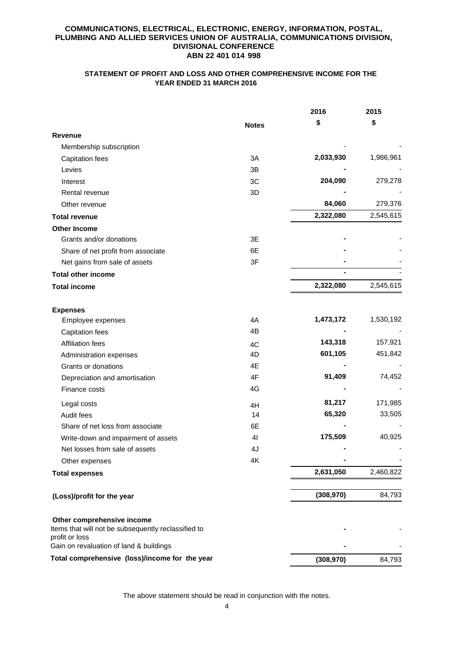# **STATEMENT OF PROFIT AND LOSS AND OTHER COMPREHENSIVE INCOME FOR THE YEAR ENDED 31 MARCH 2016**

|                                                                                                     |                | 2016       | 2015      |
|-----------------------------------------------------------------------------------------------------|----------------|------------|-----------|
|                                                                                                     | <b>Notes</b>   | \$         | \$        |
| <b>Revenue</b>                                                                                      |                |            |           |
| Membership subscription                                                                             |                |            |           |
| <b>Capitation fees</b>                                                                              | 3A             | 2,033,930  | 1,986,961 |
| Levies                                                                                              | 3B             |            |           |
| Interest                                                                                            | 3C             | 204,090    | 279,278   |
| Rental revenue                                                                                      | 3D             |            |           |
| Other revenue                                                                                       |                | 84,060     | 279,376   |
| <b>Total revenue</b>                                                                                |                | 2,322,080  | 2,545,615 |
| <b>Other Income</b>                                                                                 |                |            |           |
| Grants and/or donations                                                                             | 3E             |            |           |
| Share of net profit from associate                                                                  | 6E             |            |           |
| Net gains from sale of assets                                                                       | 3F             |            |           |
| <b>Total other income</b>                                                                           |                |            |           |
| <b>Total income</b>                                                                                 |                | 2,322,080  | 2,545,615 |
| <b>Expenses</b>                                                                                     |                |            |           |
| Employee expenses                                                                                   | 4A             | 1,473,172  | 1,530,192 |
| <b>Capitation fees</b>                                                                              | 4B             |            |           |
| <b>Affiliation fees</b>                                                                             | 4C             | 143,318    | 157,921   |
| Administration expenses                                                                             | 4D             | 601,105    | 451,842   |
| Grants or donations                                                                                 | 4E             |            |           |
| Depreciation and amortisation                                                                       | 4F             | 91,409     | 74,452    |
| Finance costs                                                                                       | 4G             |            |           |
| Legal costs                                                                                         | 4H             | 81,217     | 171,985   |
| Audit fees                                                                                          | 14             | 65,320     | 33,505    |
| Share of net loss from associate                                                                    | 6E             |            |           |
| Write-down and impairment of assets                                                                 | 4 <sub>l</sub> | 175,509    | 40,925    |
| Net losses from sale of assets                                                                      | 4J             |            |           |
| Other expenses                                                                                      | 4K             |            |           |
| <b>Total expenses</b>                                                                               |                | 2,631,050  | 2,460,822 |
| (Loss)/profit for the year                                                                          |                | (308, 970) | 84,793    |
| Other comprehensive income<br>Items that will not be subsequently reclassified to<br>profit or loss |                |            |           |
| Gain on revaluation of land & buildings                                                             |                |            |           |
| Total comprehensive (loss)/income for the year                                                      |                | (308, 970) | 84,793    |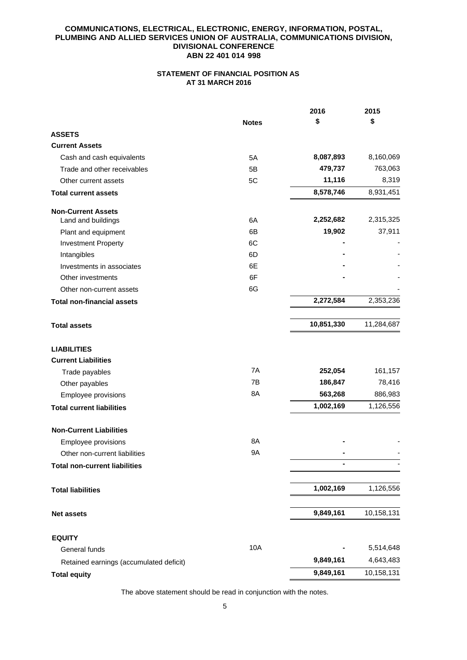# **STATEMENT OF FINANCIAL POSITION AS AT 31 MARCH 2016**

|                                         |              | 2016       | 2015       |
|-----------------------------------------|--------------|------------|------------|
|                                         | <b>Notes</b> | \$         | \$         |
| <b>ASSETS</b>                           |              |            |            |
| <b>Current Assets</b>                   |              |            |            |
| Cash and cash equivalents               | 5A           | 8,087,893  | 8,160,069  |
| Trade and other receivables             | 5B           | 479,737    | 763,063    |
| Other current assets                    | 5C           | 11,116     | 8,319      |
| <b>Total current assets</b>             |              | 8,578,746  | 8,931,451  |
| <b>Non-Current Assets</b>               |              |            |            |
| Land and buildings                      | 6A           | 2,252,682  | 2,315,325  |
| Plant and equipment                     | 6B           | 19,902     | 37,911     |
| <b>Investment Property</b>              | 6C           |            |            |
| Intangibles                             | 6D           |            |            |
| Investments in associates               | 6E           |            |            |
| Other investments                       | 6F           |            |            |
| Other non-current assets                | 6G           |            |            |
| <b>Total non-financial assets</b>       |              | 2,272,584  | 2,353,236  |
| <b>Total assets</b>                     |              | 10,851,330 | 11,284,687 |
| <b>LIABILITIES</b>                      |              |            |            |
| <b>Current Liabilities</b>              |              |            |            |
| Trade payables                          | 7A           | 252,054    | 161,157    |
| Other payables                          | 7B           | 186,847    | 78,416     |
| Employee provisions                     | 8A           | 563,268    | 886,983    |
| <b>Total current liabilities</b>        |              | 1,002,169  | 1,126,556  |
| <b>Non-Current Liabilities</b>          |              |            |            |
| Employee provisions                     | 8Α           |            |            |
| Other non-current liabilities           | <b>9A</b>    |            |            |
| <b>Total non-current liabilities</b>    |              |            |            |
| <b>Total liabilities</b>                |              | 1,002,169  | 1,126,556  |
|                                         |              |            |            |
| <b>Net assets</b>                       |              | 9,849,161  | 10,158,131 |
| <b>EQUITY</b>                           |              |            |            |
| General funds                           | 10A          |            | 5,514,648  |
| Retained earnings (accumulated deficit) |              | 9,849,161  | 4,643,483  |
| <b>Total equity</b>                     |              | 9,849,161  | 10,158,131 |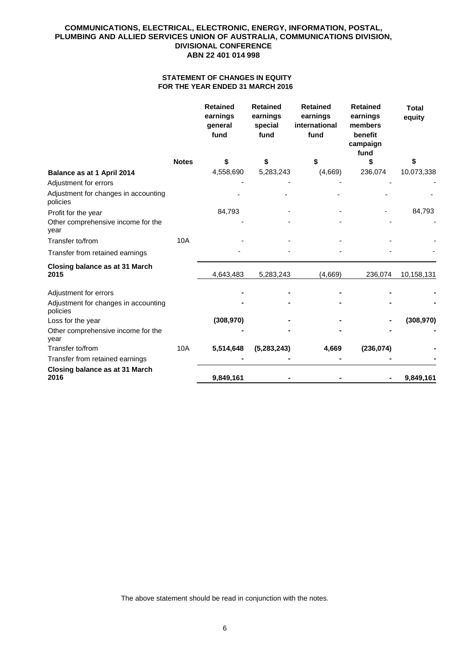## **STATEMENT OF CHANGES IN EQUITY FOR THE YEAR ENDED 31 MARCH 2016**

|                                                     |              | <b>Retained</b><br>earnings<br>general<br>fund | <b>Retained</b><br>earnings<br>special<br>fund | <b>Retained</b><br>earnings<br>international<br>fund | <b>Retained</b><br>earnings<br>members<br>benefit<br>campaign<br>fund | <b>Total</b><br>equity |
|-----------------------------------------------------|--------------|------------------------------------------------|------------------------------------------------|------------------------------------------------------|-----------------------------------------------------------------------|------------------------|
|                                                     | <b>Notes</b> | \$                                             | \$                                             | \$                                                   | \$                                                                    |                        |
| Balance as at 1 April 2014<br>Adjustment for errors |              | 4,558,690                                      | 5,283,243                                      | (4,669)                                              | 236,074                                                               | 10,073,338             |
| Adjustment for changes in accounting<br>policies    |              |                                                |                                                |                                                      |                                                                       |                        |
| Profit for the year                                 |              | 84,793                                         |                                                |                                                      |                                                                       | 84,793                 |
| Other comprehensive income for the<br>year          |              |                                                |                                                |                                                      |                                                                       |                        |
| Transfer to/from                                    | 10A          |                                                |                                                |                                                      |                                                                       |                        |
| Transfer from retained earnings                     |              |                                                |                                                |                                                      |                                                                       |                        |
| Closing balance as at 31 March<br>2015              |              | 4,643,483                                      | 5,283,243                                      | (4,669)                                              | 236,074                                                               | 10,158,131             |
| Adjustment for errors                               |              |                                                |                                                |                                                      |                                                                       |                        |
| Adjustment for changes in accounting<br>policies    |              |                                                |                                                |                                                      |                                                                       |                        |
| Loss for the year                                   |              | (308, 970)                                     |                                                |                                                      |                                                                       | (308, 970)             |
| Other comprehensive income for the<br>year          |              |                                                |                                                |                                                      |                                                                       |                        |
| Transfer to/from                                    | 10A          | 5,514,648                                      | (5, 283, 243)                                  | 4,669                                                | (236, 074)                                                            |                        |
| Transfer from retained earnings                     |              |                                                |                                                |                                                      |                                                                       |                        |
| Closing balance as at 31 March<br>2016              |              | 9,849,161                                      |                                                |                                                      |                                                                       | 9,849,161              |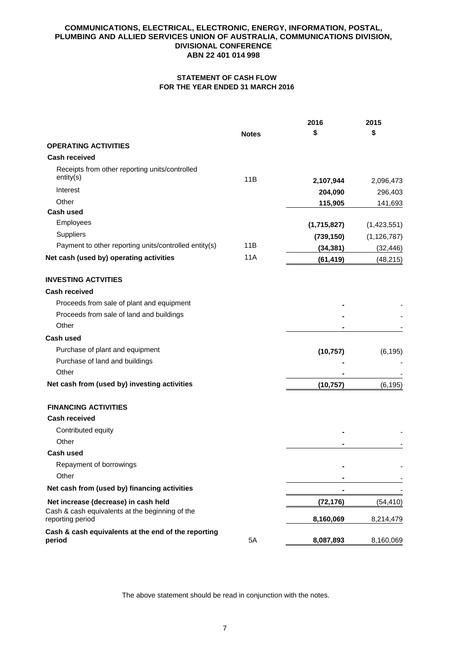# **STATEMENT OF CASH FLOW FOR THE YEAR ENDED 31 MARCH 2016**

|                                                                     |              | 2016        | 2015          |
|---------------------------------------------------------------------|--------------|-------------|---------------|
|                                                                     | <b>Notes</b> | \$          | \$            |
| <b>OPERATING ACTIVITIES</b>                                         |              |             |               |
| <b>Cash received</b>                                                |              |             |               |
| Receipts from other reporting units/controlled                      |              |             |               |
| entity(s)                                                           | 11B          | 2,107,944   | 2,096,473     |
| Interest                                                            |              | 204,090     | 296,403       |
| Other                                                               |              | 115,905     | 141,693       |
| Cash used                                                           |              |             |               |
| Employees                                                           |              | (1,715,827) | (1,423,551)   |
| Suppliers                                                           |              | (739, 150)  | (1, 126, 787) |
| Payment to other reporting units/controlled entity(s)               | 11B          | (34, 381)   | (32, 446)     |
| Net cash (used by) operating activities                             | 11A          | (61, 419)   | (48, 215)     |
| <b>INVESTING ACTVITIES</b>                                          |              |             |               |
| <b>Cash received</b>                                                |              |             |               |
| Proceeds from sale of plant and equipment                           |              |             |               |
| Proceeds from sale of land and buildings                            |              |             |               |
| Other                                                               |              |             |               |
| <b>Cash used</b>                                                    |              |             |               |
| Purchase of plant and equipment                                     |              | (10, 757)   | (6, 195)      |
| Purchase of land and buildings                                      |              |             |               |
| Other                                                               |              |             |               |
| Net cash from (used by) investing activities                        |              | (10, 757)   | (6, 195)      |
| <b>FINANCING ACTIVITIES</b>                                         |              |             |               |
| <b>Cash received</b>                                                |              |             |               |
| Contributed equity                                                  |              |             |               |
| Other                                                               |              |             |               |
| <b>Cash used</b>                                                    |              |             |               |
| Repayment of borrowings                                             |              |             |               |
| Other                                                               |              | -           |               |
| Net cash from (used by) financing activities                        |              |             |               |
| Net increase (decrease) in cash held                                |              | (72, 176)   | (54,410)      |
| Cash & cash equivalents at the beginning of the<br>reporting period |              | 8,160,069   | 8,214,479     |
| Cash & cash equivalents at the end of the reporting<br>period       | 5A           | 8,087,893   | 8,160,069     |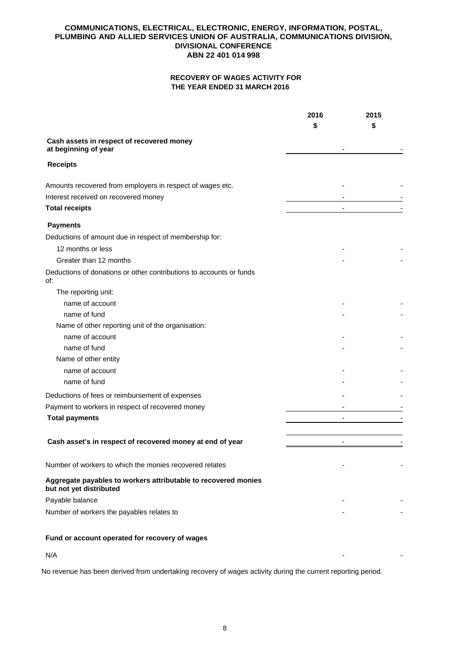# **RECOVERY OF WAGES ACTIVITY FOR THE YEAR ENDED 31 MARCH 2016**

|                                                                                           | 2016 | 2015                     |
|-------------------------------------------------------------------------------------------|------|--------------------------|
|                                                                                           |      | \$                       |
| Cash assets in respect of recovered money<br>at beginning of year                         |      |                          |
| <b>Receipts</b>                                                                           |      |                          |
| Amounts recovered from employers in respect of wages etc.                                 |      |                          |
| Interest received on recovered money                                                      |      |                          |
| <b>Total receipts</b>                                                                     |      |                          |
| <b>Payments</b>                                                                           |      |                          |
| Deductions of amount due in respect of membership for:                                    |      |                          |
| 12 months or less                                                                         |      |                          |
| Greater than 12 months                                                                    |      |                          |
| Deductions of donations or other contributions to accounts or funds<br>of:                |      |                          |
| The reporting unit:                                                                       |      |                          |
| name of account                                                                           |      |                          |
| name of fund                                                                              |      |                          |
| Name of other reporting unit of the organisation:                                         |      |                          |
| name of account                                                                           |      |                          |
| name of fund                                                                              |      |                          |
| Name of other entity                                                                      |      |                          |
| name of account                                                                           |      |                          |
| name of fund                                                                              |      |                          |
| Deductions of fees or reimbursement of expenses                                           |      |                          |
| Payment to workers in respect of recovered money                                          |      |                          |
| <b>Total payments</b>                                                                     |      |                          |
|                                                                                           |      |                          |
| Cash asset's in respect of recovered money at end of year                                 |      | $\overline{\phantom{a}}$ |
| Number of workers to which the monies recovered relates                                   |      |                          |
| Aggregate payables to workers attributable to recovered monies<br>but not yet distributed |      |                          |
| Payable balance                                                                           |      |                          |
| Number of workers the payables relates to                                                 |      |                          |
|                                                                                           |      |                          |
| Fund or account operated for recovery of wages                                            |      |                          |

 $N/A$ 

No revenue has been derived from undertaking recovery of wages activity during the current reporting period.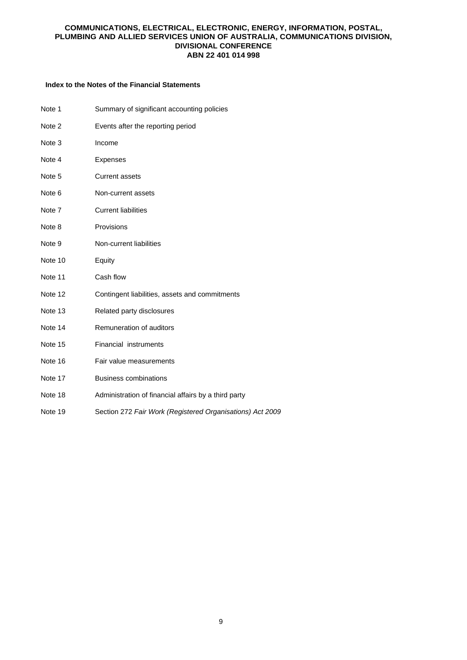## **Index to the Notes of the Financial Statements**

| Note 1  | Summary of significant accounting policies                |
|---------|-----------------------------------------------------------|
| Note 2  | Events after the reporting period                         |
| Note 3  | Income                                                    |
| Note 4  | <b>Expenses</b>                                           |
| Note 5  | <b>Current assets</b>                                     |
| Note 6  | Non-current assets                                        |
| Note 7  | <b>Current liabilities</b>                                |
| Note 8  | Provisions                                                |
| Note 9  | Non-current liabilities                                   |
| Note 10 | Equity                                                    |
| Note 11 | Cash flow                                                 |
| Note 12 | Contingent liabilities, assets and commitments            |
| Note 13 | Related party disclosures                                 |
| Note 14 | Remuneration of auditors                                  |
| Note 15 | Financial instruments                                     |
| Note 16 | Fair value measurements                                   |
| Note 17 | <b>Business combinations</b>                              |
| Note 18 | Administration of financial affairs by a third party      |
| Note 19 | Section 272 Fair Work (Registered Organisations) Act 2009 |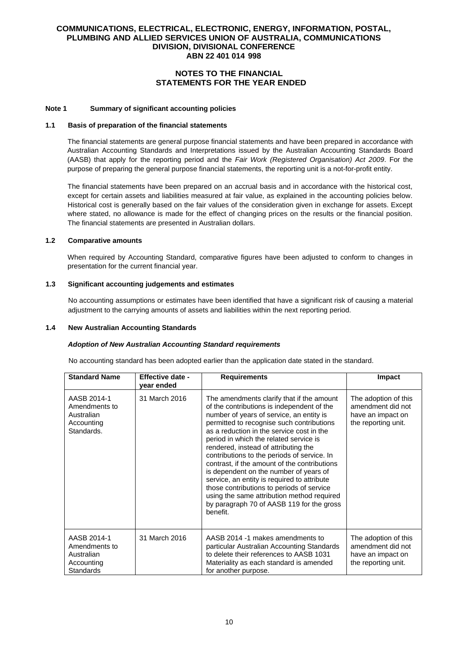# **NOTES TO THE FINANCIAL STATEMENTS FOR THE YEAR ENDED**

### **Note 1 Summary of significant accounting policies**

#### **1.1 Basis of preparation of the financial statements**

The financial statements are general purpose financial statements and have been prepared in accordance with Australian Accounting Standards and Interpretations issued by the Australian Accounting Standards Board (AASB) that apply for the reporting period and the *Fair Work (Registered Organisation) Act 2009*. For the purpose of preparing the general purpose financial statements, the reporting unit is a not-for-profit entity.

The financial statements have been prepared on an accrual basis and in accordance with the historical cost, except for certain assets and liabilities measured at fair value, as explained in the accounting policies below. Historical cost is generally based on the fair values of the consideration given in exchange for assets. Except where stated, no allowance is made for the effect of changing prices on the results or the financial position. The financial statements are presented in Australian dollars.

### **1.2 Comparative amounts**

When required by Accounting Standard, comparative figures have been adjusted to conform to changes in presentation for the current financial year.

## **1.3 Significant accounting judgements and estimates**

No accounting assumptions or estimates have been identified that have a significant risk of causing a material adjustment to the carrying amounts of assets and liabilities within the next reporting period.

### **1.4 New Australian Accounting Standards**

#### *Adoption of New Australian Accounting Standard requirements*

No accounting standard has been adopted earlier than the application date stated in the standard.

| <b>Standard Name</b>                                                         | Effective date -<br>year ended | <b>Requirements</b>                                                                                                                                                                                                                                                                                                                                                                                                                                                                                                                                                                                                                                         | Impact                                                                                |
|------------------------------------------------------------------------------|--------------------------------|-------------------------------------------------------------------------------------------------------------------------------------------------------------------------------------------------------------------------------------------------------------------------------------------------------------------------------------------------------------------------------------------------------------------------------------------------------------------------------------------------------------------------------------------------------------------------------------------------------------------------------------------------------------|---------------------------------------------------------------------------------------|
| AASB 2014-1<br>Amendments to<br>Australian<br>Accounting<br>Standards.       | 31 March 2016                  | The amendments clarify that if the amount<br>of the contributions is independent of the<br>number of years of service, an entity is<br>permitted to recognise such contributions<br>as a reduction in the service cost in the<br>period in which the related service is<br>rendered, instead of attributing the<br>contributions to the periods of service. In<br>contrast, if the amount of the contributions<br>is dependent on the number of years of<br>service, an entity is required to attribute<br>those contributions to periods of service<br>using the same attribution method required<br>by paragraph 70 of AASB 119 for the gross<br>benefit. | The adoption of this<br>amendment did not<br>have an impact on<br>the reporting unit. |
| AASB 2014-1<br>Amendments to<br>Australian<br>Accounting<br><b>Standards</b> | 31 March 2016                  | AASB 2014 -1 makes amendments to<br>particular Australian Accounting Standards<br>to delete their references to AASB 1031<br>Materiality as each standard is amended<br>for another purpose.                                                                                                                                                                                                                                                                                                                                                                                                                                                                | The adoption of this<br>amendment did not<br>have an impact on<br>the reporting unit. |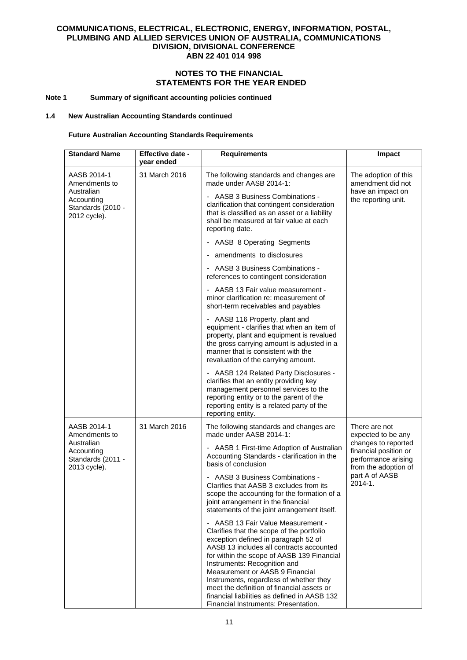# **NOTES TO THE FINANCIAL STATEMENTS FOR THE YEAR ENDED**

### **Note 1 Summary of significant accounting policies continued**

### **1.4 New Australian Accounting Standards continued**

# **Future Australian Accounting Standards Requirements**

| <b>Standard Name</b>                                                                                           | Effective date -<br>year ended                                                                                                                                                                 | <b>Requirements</b>                                                                                                                                                                                                                                                                                                                                                                                                                                                   | Impact                                                                                      |
|----------------------------------------------------------------------------------------------------------------|------------------------------------------------------------------------------------------------------------------------------------------------------------------------------------------------|-----------------------------------------------------------------------------------------------------------------------------------------------------------------------------------------------------------------------------------------------------------------------------------------------------------------------------------------------------------------------------------------------------------------------------------------------------------------------|---------------------------------------------------------------------------------------------|
| 31 March 2016<br>AASB 2014-1<br>Amendments to<br>Australian<br>Accountina<br>Standards (2010 -<br>2012 cycle). |                                                                                                                                                                                                | The following standards and changes are<br>made under AASB 2014-1:                                                                                                                                                                                                                                                                                                                                                                                                    | The adoption of this<br>amendment did not                                                   |
|                                                                                                                | - AASB 3 Business Combinations -<br>clarification that contingent consideration<br>that is classified as an asset or a liability<br>shall be measured at fair value at each<br>reporting date. | have an impact on<br>the reporting unit.                                                                                                                                                                                                                                                                                                                                                                                                                              |                                                                                             |
|                                                                                                                |                                                                                                                                                                                                | - AASB 8 Operating Segments                                                                                                                                                                                                                                                                                                                                                                                                                                           |                                                                                             |
|                                                                                                                |                                                                                                                                                                                                | - amendments to disclosures                                                                                                                                                                                                                                                                                                                                                                                                                                           |                                                                                             |
|                                                                                                                |                                                                                                                                                                                                | - AASB 3 Business Combinations -<br>references to contingent consideration                                                                                                                                                                                                                                                                                                                                                                                            |                                                                                             |
|                                                                                                                |                                                                                                                                                                                                | - AASB 13 Fair value measurement -<br>minor clarification re: measurement of<br>short-term receivables and payables                                                                                                                                                                                                                                                                                                                                                   |                                                                                             |
|                                                                                                                |                                                                                                                                                                                                | - AASB 116 Property, plant and<br>equipment - clarifies that when an item of<br>property, plant and equipment is revalued<br>the gross carrying amount is adjusted in a<br>manner that is consistent with the<br>revaluation of the carrying amount.                                                                                                                                                                                                                  |                                                                                             |
|                                                                                                                |                                                                                                                                                                                                | - AASB 124 Related Party Disclosures -<br>clarifies that an entity providing key<br>management personnel services to the<br>reporting entity or to the parent of the<br>reporting entity is a related party of the<br>reporting entity.                                                                                                                                                                                                                               |                                                                                             |
| AASB 2014-1<br>Amendments to                                                                                   | 31 March 2016                                                                                                                                                                                  | The following standards and changes are<br>made under AASB 2014-1:                                                                                                                                                                                                                                                                                                                                                                                                    | There are not<br>expected to be any                                                         |
| Australian<br>Accounting<br>Standards (2011 -<br>2013 cycle).                                                  |                                                                                                                                                                                                | - AASB 1 First-time Adoption of Australian<br>Accounting Standards - clarification in the<br>basis of conclusion                                                                                                                                                                                                                                                                                                                                                      | changes to reported<br>financial position or<br>performance arising<br>from the adoption of |
|                                                                                                                |                                                                                                                                                                                                | - AASB 3 Business Combinations -<br>Clarifies that AASB 3 excludes from its<br>scope the accounting for the formation of a<br>joint arrangement in the financial<br>statements of the joint arrangement itself.                                                                                                                                                                                                                                                       | part A of AASB<br>$2014 - 1.$                                                               |
|                                                                                                                |                                                                                                                                                                                                | - AASB 13 Fair Value Measurement -<br>Clarifies that the scope of the portfolio<br>exception defined in paragraph 52 of<br>AASB 13 includes all contracts accounted<br>for within the scope of AASB 139 Financial<br>Instruments: Recognition and<br>Measurement or AASB 9 Financial<br>Instruments, regardless of whether they<br>meet the definition of financial assets or<br>financial liabilities as defined in AASB 132<br>Financial Instruments: Presentation. |                                                                                             |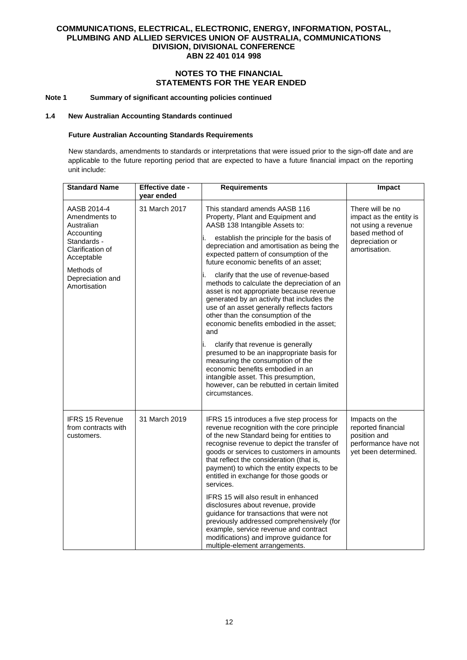# **NOTES TO THE FINANCIAL STATEMENTS FOR THE YEAR ENDED**

### **Note 1 Summary of significant accounting policies continued**

#### **1.4 New Australian Accounting Standards continued**

## **Future Australian Accounting Standards Requirements**

New standards, amendments to standards or interpretations that were issued prior to the sign-off date and are applicable to the future reporting period that are expected to have a future financial impact on the reporting unit include:

| <b>Standard Name</b>                                                                                                                                        | Effective date -<br>year ended | <b>Requirements</b>                                                                                                                                                                                                                                                                                                                                                                                                                                                                                                                                                                                                                                                                                                                                                                                                                                                         | Impact                                                                                                                    |
|-------------------------------------------------------------------------------------------------------------------------------------------------------------|--------------------------------|-----------------------------------------------------------------------------------------------------------------------------------------------------------------------------------------------------------------------------------------------------------------------------------------------------------------------------------------------------------------------------------------------------------------------------------------------------------------------------------------------------------------------------------------------------------------------------------------------------------------------------------------------------------------------------------------------------------------------------------------------------------------------------------------------------------------------------------------------------------------------------|---------------------------------------------------------------------------------------------------------------------------|
| AASB 2014-4<br>Amendments to<br>Australian<br>Accounting<br>Standards -<br>Clarification of<br>Acceptable<br>Methods of<br>Depreciation and<br>Amortisation | 31 March 2017                  | This standard amends AASB 116<br>Property, Plant and Equipment and<br>AASB 138 Intangible Assets to:<br>establish the principle for the basis of<br>depreciation and amortisation as being the<br>expected pattern of consumption of the<br>future economic benefits of an asset;<br>clarify that the use of revenue-based<br>methods to calculate the depreciation of an<br>asset is not appropriate because revenue<br>generated by an activity that includes the<br>use of an asset generally reflects factors<br>other than the consumption of the<br>economic benefits embodied in the asset;<br>and<br>clarify that revenue is generally<br>presumed to be an inappropriate basis for<br>measuring the consumption of the<br>economic benefits embodied in an<br>intangible asset. This presumption,<br>however, can be rebutted in certain limited<br>circumstances. | There will be no<br>impact as the entity is<br>not using a revenue<br>based method of<br>depreciation or<br>amortisation. |
| <b>IFRS 15 Revenue</b><br>from contracts with<br>customers.                                                                                                 | 31 March 2019                  | IFRS 15 introduces a five step process for<br>revenue recognition with the core principle<br>of the new Standard being for entities to<br>recognise revenue to depict the transfer of<br>goods or services to customers in amounts<br>that reflect the consideration (that is,<br>payment) to which the entity expects to be<br>entitled in exchange for those goods or<br>services.<br>IFRS 15 will also result in enhanced<br>disclosures about revenue, provide<br>guidance for transactions that were not<br>previously addressed comprehensively (for<br>example, service revenue and contract<br>modifications) and improve guidance for<br>multiple-element arrangements.                                                                                                                                                                                            | Impacts on the<br>reported financial<br>position and<br>performance have not<br>yet been determined.                      |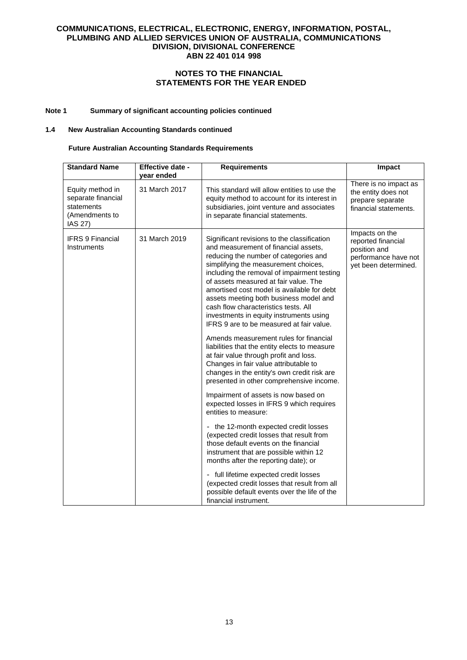# **NOTES TO THE FINANCIAL STATEMENTS FOR THE YEAR ENDED**

# **Note 1 Summary of significant accounting policies continued**

#### **1.4 New Australian Accounting Standards continued**

## **Future Australian Accounting Standards Requirements**

| <b>Standard Name</b>                                                              | Effective date -<br>year ended | <b>Requirements</b>                                                                                                                                                                                                                                                                                                                                                                                                                                                                 | Impact                                                                                               |
|-----------------------------------------------------------------------------------|--------------------------------|-------------------------------------------------------------------------------------------------------------------------------------------------------------------------------------------------------------------------------------------------------------------------------------------------------------------------------------------------------------------------------------------------------------------------------------------------------------------------------------|------------------------------------------------------------------------------------------------------|
| Equity method in<br>separate financial<br>statements<br>(Amendments to<br>IAS 27) | 31 March 2017                  | This standard will allow entities to use the<br>equity method to account for its interest in<br>subsidiaries, joint venture and associates<br>in separate financial statements.                                                                                                                                                                                                                                                                                                     | There is no impact as<br>the entity does not<br>prepare separate<br>financial statements.            |
| <b>IFRS 9 Financial</b><br>Instruments                                            | 31 March 2019                  | Significant revisions to the classification<br>and measurement of financial assets,<br>reducing the number of categories and<br>simplifying the measurement choices,<br>including the removal of impairment testing<br>of assets measured at fair value. The<br>amortised cost model is available for debt<br>assets meeting both business model and<br>cash flow characteristics tests. All<br>investments in equity instruments using<br>IFRS 9 are to be measured at fair value. | Impacts on the<br>reported financial<br>position and<br>performance have not<br>yet been determined. |
|                                                                                   |                                | Amends measurement rules for financial<br>liabilities that the entity elects to measure<br>at fair value through profit and loss.<br>Changes in fair value attributable to<br>changes in the entity's own credit risk are<br>presented in other comprehensive income.                                                                                                                                                                                                               |                                                                                                      |
|                                                                                   |                                | Impairment of assets is now based on<br>expected losses in IFRS 9 which requires<br>entities to measure:                                                                                                                                                                                                                                                                                                                                                                            |                                                                                                      |
|                                                                                   |                                | - the 12-month expected credit losses<br>(expected credit losses that result from<br>those default events on the financial<br>instrument that are possible within 12<br>months after the reporting date); or                                                                                                                                                                                                                                                                        |                                                                                                      |
|                                                                                   |                                | - full lifetime expected credit losses<br>(expected credit losses that result from all<br>possible default events over the life of the<br>financial instrument.                                                                                                                                                                                                                                                                                                                     |                                                                                                      |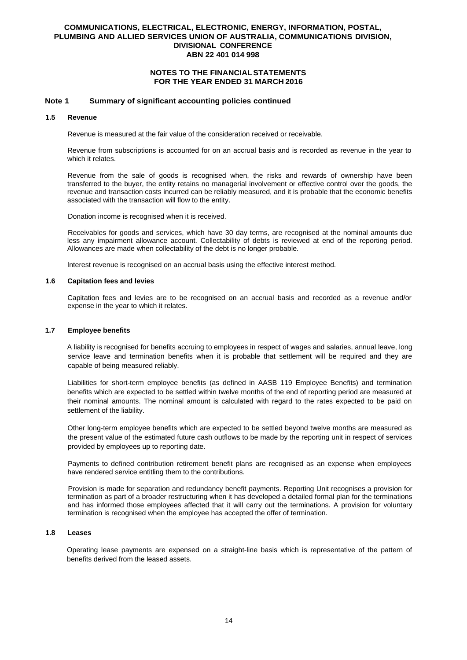## **NOTES TO THE FINANCIAL STATEMENTS FOR THE YEAR ENDED 31 MARCH 2016**

### **Note 1 Summary of significant accounting policies continued**

### **1.5 Revenue**

Revenue is measured at the fair value of the consideration received or receivable.

Revenue from subscriptions is accounted for on an accrual basis and is recorded as revenue in the year to which it relates.

Revenue from the sale of goods is recognised when, the risks and rewards of ownership have been transferred to the buyer, the entity retains no managerial involvement or effective control over the goods, the revenue and transaction costs incurred can be reliably measured, and it is probable that the economic benefits associated with the transaction will flow to the entity.

Donation income is recognised when it is received.

Receivables for goods and services, which have 30 day terms, are recognised at the nominal amounts due less any impairment allowance account. Collectability of debts is reviewed at end of the reporting period. Allowances are made when collectability of the debt is no longer probable.

Interest revenue is recognised on an accrual basis using the effective interest method.

### **1.6 Capitation fees and levies**

Capitation fees and levies are to be recognised on an accrual basis and recorded as a revenue and/or expense in the year to which it relates.

### **1.7 Employee benefits**

A liability is recognised for benefits accruing to employees in respect of wages and salaries, annual leave, long service leave and termination benefits when it is probable that settlement will be required and they are capable of being measured reliably.

Liabilities for short-term employee benefits (as defined in AASB 119 Employee Benefits) and termination benefits which are expected to be settled within twelve months of the end of reporting period are measured at their nominal amounts. The nominal amount is calculated with regard to the rates expected to be paid on settlement of the liability.

Other long-term employee benefits which are expected to be settled beyond twelve months are measured as the present value of the estimated future cash outflows to be made by the reporting unit in respect of services provided by employees up to reporting date.

Payments to defined contribution retirement benefit plans are recognised as an expense when employees have rendered service entitling them to the contributions.

Provision is made for separation and redundancy benefit payments. Reporting Unit recognises a provision for termination as part of a broader restructuring when it has developed a detailed formal plan for the terminations and has informed those employees affected that it will carry out the terminations. A provision for voluntary termination is recognised when the employee has accepted the offer of termination.

#### **1.8 Leases**

Operating lease payments are expensed on a straight-line basis which is representative of the pattern of benefits derived from the leased assets.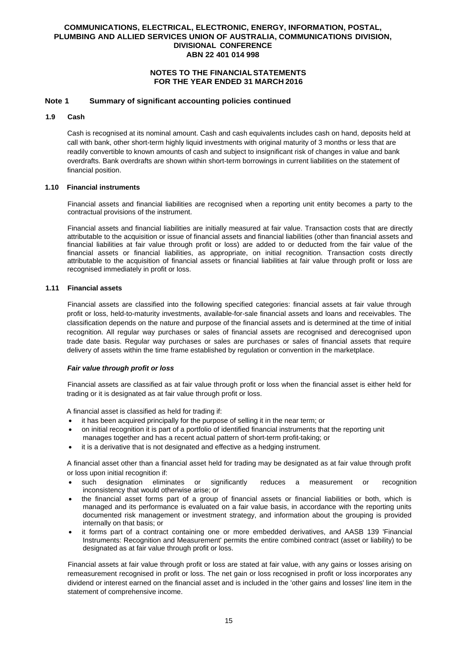## **NOTES TO THE FINANCIAL STATEMENTS FOR THE YEAR ENDED 31 MARCH 2016**

### **Note 1 Summary of significant accounting policies continued**

### **1.9 Cash**

Cash is recognised at its nominal amount. Cash and cash equivalents includes cash on hand, deposits held at call with bank, other short-term highly liquid investments with original maturity of 3 months or less that are readily convertible to known amounts of cash and subject to insignificant risk of changes in value and bank overdrafts. Bank overdrafts are shown within short-term borrowings in current liabilities on the statement of financial position.

#### **1.10 Financial instruments**

Financial assets and financial liabilities are recognised when a reporting unit entity becomes a party to the contractual provisions of the instrument.

Financial assets and financial liabilities are initially measured at fair value. Transaction costs that are directly attributable to the acquisition or issue of financial assets and financial liabilities (other than financial assets and financial liabilities at fair value through profit or loss) are added to or deducted from the fair value of the financial assets or financial liabilities, as appropriate, on initial recognition. Transaction costs directly attributable to the acquisition of financial assets or financial liabilities at fair value through profit or loss are recognised immediately in profit or loss.

#### **1.11 Financial assets**

Financial assets are classified into the following specified categories: financial assets at fair value through profit or loss, held-to-maturity investments, available-for-sale financial assets and loans and receivables. The classification depends on the nature and purpose of the financial assets and is determined at the time of initial recognition. All regular way purchases or sales of financial assets are recognised and derecognised upon trade date basis. Regular way purchases or sales are purchases or sales of financial assets that require delivery of assets within the time frame established by regulation or convention in the marketplace.

#### *Fair value through profit or loss*

Financial assets are classified as at fair value through profit or loss when the financial asset is either held for trading or it is designated as at fair value through profit or loss.

A financial asset is classified as held for trading if:

- it has been acquired principally for the purpose of selling it in the near term; or
- on initial recognition it is part of a portfolio of identified financial instruments that the reporting unit manages together and has a recent actual pattern of short-term profit-taking; or
- it is a derivative that is not designated and effective as a hedging instrument.

A financial asset other than a financial asset held for trading may be designated as at fair value through profit or loss upon initial recognition if:

- such designation eliminates or significantly reduces a measurement or recognition inconsistency that would otherwise arise; or
- the financial asset forms part of a group of financial assets or financial liabilities or both, which is managed and its performance is evaluated on a fair value basis, in accordance with the reporting units documented risk management or investment strategy, and information about the grouping is provided internally on that basis; or
- it forms part of a contract containing one or more embedded derivatives, and AASB 139 'Financial Instruments: Recognition and Measurement' permits the entire combined contract (asset or liability) to be designated as at fair value through profit or loss.

Financial assets at fair value through profit or loss are stated at fair value, with any gains or losses arising on remeasurement recognised in profit or loss. The net gain or loss recognised in profit or loss incorporates any dividend or interest earned on the financial asset and is included in the 'other gains and losses' line item in the statement of comprehensive income.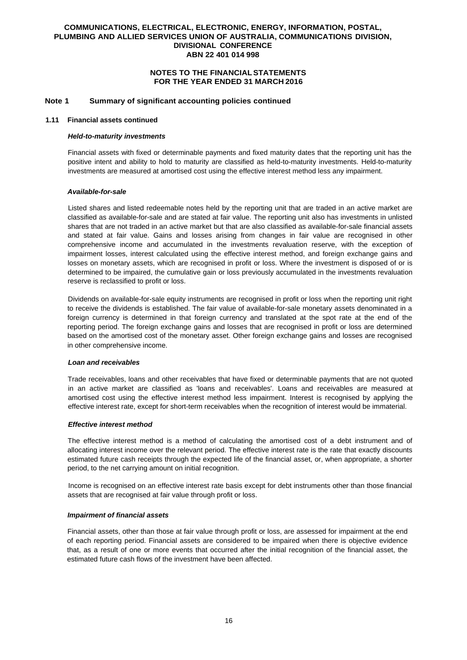### **NOTES TO THE FINANCIAL STATEMENTS FOR THE YEAR ENDED 31 MARCH 2016**

### **Note 1 Summary of significant accounting policies continued**

#### **1.11 Financial assets continued**

#### *Held-to-maturity investments*

Financial assets with fixed or determinable payments and fixed maturity dates that the reporting unit has the positive intent and ability to hold to maturity are classified as held-to-maturity investments. Held-to-maturity investments are measured at amortised cost using the effective interest method less any impairment.

#### *Available-for-sale*

Listed shares and listed redeemable notes held by the reporting unit that are traded in an active market are classified as available-for-sale and are stated at fair value. The reporting unit also has investments in unlisted shares that are not traded in an active market but that are also classified as available-for-sale financial assets and stated at fair value. Gains and losses arising from changes in fair value are recognised in other comprehensive income and accumulated in the investments revaluation reserve, with the exception of impairment losses, interest calculated using the effective interest method, and foreign exchange gains and losses on monetary assets, which are recognised in profit or loss. Where the investment is disposed of or is determined to be impaired, the cumulative gain or loss previously accumulated in the investments revaluation reserve is reclassified to profit or loss.

Dividends on available-for-sale equity instruments are recognised in profit or loss when the reporting unit right to receive the dividends is established. The fair value of available-for-sale monetary assets denominated in a foreign currency is determined in that foreign currency and translated at the spot rate at the end of the reporting period. The foreign exchange gains and losses that are recognised in profit or loss are determined based on the amortised cost of the monetary asset. Other foreign exchange gains and losses are recognised in other comprehensive income.

#### *Loan and receivables*

Trade receivables, loans and other receivables that have fixed or determinable payments that are not quoted in an active market are classified as 'loans and receivables'. Loans and receivables are measured at amortised cost using the effective interest method less impairment. Interest is recognised by applying the effective interest rate, except for short-term receivables when the recognition of interest would be immaterial.

#### *Effective interest method*

The effective interest method is a method of calculating the amortised cost of a debt instrument and of allocating interest income over the relevant period. The effective interest rate is the rate that exactly discounts estimated future cash receipts through the expected life of the financial asset, or, when appropriate, a shorter period, to the net carrying amount on initial recognition.

Income is recognised on an effective interest rate basis except for debt instruments other than those financial assets that are recognised at fair value through profit or loss.

#### *Impairment of financial assets*

Financial assets, other than those at fair value through profit or loss, are assessed for impairment at the end of each reporting period. Financial assets are considered to be impaired when there is objective evidence that, as a result of one or more events that occurred after the initial recognition of the financial asset, the estimated future cash flows of the investment have been affected.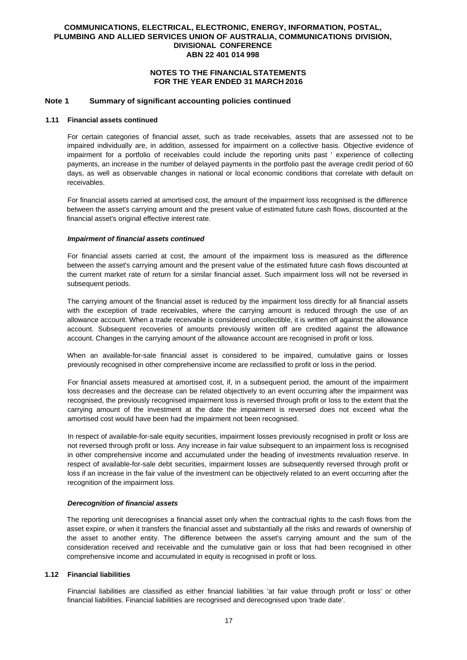### **NOTES TO THE FINANCIAL STATEMENTS FOR THE YEAR ENDED 31 MARCH 2016**

### **Note 1 Summary of significant accounting policies continued**

#### **1.11 Financial assets continued**

For certain categories of financial asset, such as trade receivables, assets that are assessed not to be impaired individually are, in addition, assessed for impairment on a collective basis. Objective evidence of impairment for a portfolio of receivables could include the reporting units past ' experience of collecting payments, an increase in the number of delayed payments in the portfolio past the average credit period of 60 days, as well as observable changes in national or local economic conditions that correlate with default on receivables.

For financial assets carried at amortised cost, the amount of the impairment loss recognised is the difference between the asset's carrying amount and the present value of estimated future cash flows, discounted at the financial asset's original effective interest rate.

#### *Impairment of financial assets continued*

For financial assets carried at cost, the amount of the impairment loss is measured as the difference between the asset's carrying amount and the present value of the estimated future cash flows discounted at the current market rate of return for a similar financial asset. Such impairment loss will not be reversed in subsequent periods.

The carrying amount of the financial asset is reduced by the impairment loss directly for all financial assets with the exception of trade receivables, where the carrying amount is reduced through the use of an allowance account. When a trade receivable is considered uncollectible, it is written off against the allowance account. Subsequent recoveries of amounts previously written off are credited against the allowance account. Changes in the carrying amount of the allowance account are recognised in profit or loss.

When an available-for-sale financial asset is considered to be impaired, cumulative gains or losses previously recognised in other comprehensive income are reclassified to profit or loss in the period.

For financial assets measured at amortised cost, if, in a subsequent period, the amount of the impairment loss decreases and the decrease can be related objectively to an event occurring after the impairment was recognised, the previously recognised impairment loss is reversed through profit or loss to the extent that the carrying amount of the investment at the date the impairment is reversed does not exceed what the amortised cost would have been had the impairment not been recognised.

In respect of available-for-sale equity securities, impairment losses previously recognised in profit or loss are not reversed through profit or loss. Any increase in fair value subsequent to an impairment loss is recognised in other comprehensive income and accumulated under the heading of investments revaluation reserve. In respect of available-for-sale debt securities, impairment losses are subsequently reversed through profit or loss if an increase in the fair value of the investment can be objectively related to an event occurring after the recognition of the impairment loss.

#### *Derecognition of financial assets*

The reporting unit derecognises a financial asset only when the contractual rights to the cash flows from the asset expire, or when it transfers the financial asset and substantially all the risks and rewards of ownership of the asset to another entity. The difference between the asset's carrying amount and the sum of the consideration received and receivable and the cumulative gain or loss that had been recognised in other comprehensive income and accumulated in equity is recognised in profit or loss.

#### **1.12 Financial liabilities**

Financial liabilities are classified as either financial liabilities 'at fair value through profit or loss' or other financial liabilities. Financial liabilities are recognised and derecognised upon 'trade date'.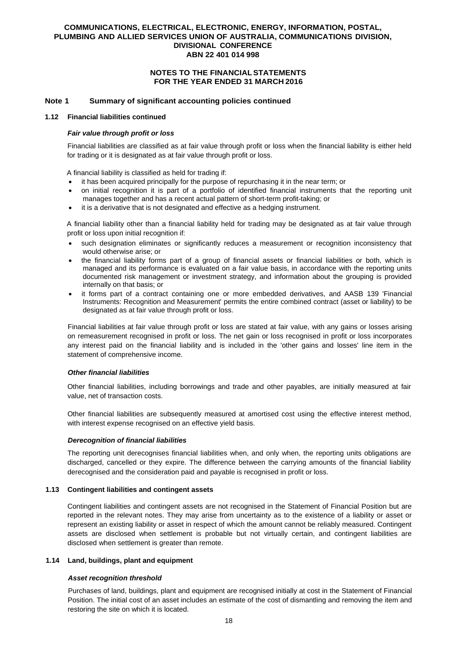### **NOTES TO THE FINANCIAL STATEMENTS FOR THE YEAR ENDED 31 MARCH 2016**

### **Note 1 Summary of significant accounting policies continued**

#### **1.12 Financial liabilities continued**

#### *Fair value through profit or loss*

Financial liabilities are classified as at fair value through profit or loss when the financial liability is either held for trading or it is designated as at fair value through profit or loss.

A financial liability is classified as held for trading if:

- it has been acquired principally for the purpose of repurchasing it in the near term; or
- on initial recognition it is part of a portfolio of identified financial instruments that the reporting unit manages together and has a recent actual pattern of short-term profit-taking; or
- it is a derivative that is not designated and effective as a hedging instrument.

A financial liability other than a financial liability held for trading may be designated as at fair value through profit or loss upon initial recognition if:

- such designation eliminates or significantly reduces a measurement or recognition inconsistency that would otherwise arise; or
- the financial liability forms part of a group of financial assets or financial liabilities or both, which is managed and its performance is evaluated on a fair value basis, in accordance with the reporting units documented risk management or investment strategy, and information about the grouping is provided internally on that basis; or
- it forms part of a contract containing one or more embedded derivatives, and AASB 139 'Financial Instruments: Recognition and Measurement' permits the entire combined contract (asset or liability) to be designated as at fair value through profit or loss.

Financial liabilities at fair value through profit or loss are stated at fair value, with any gains or losses arising on remeasurement recognised in profit or loss. The net gain or loss recognised in profit or loss incorporates any interest paid on the financial liability and is included in the 'other gains and losses' line item in the statement of comprehensive income.

#### *Other financial liabilities*

Other financial liabilities, including borrowings and trade and other payables, are initially measured at fair value, net of transaction costs.

Other financial liabilities are subsequently measured at amortised cost using the effective interest method, with interest expense recognised on an effective yield basis.

#### *Derecognition of financial liabilities*

The reporting unit derecognises financial liabilities when, and only when, the reporting units obligations are discharged, cancelled or they expire. The difference between the carrying amounts of the financial liability derecognised and the consideration paid and payable is recognised in profit or loss.

#### **1.13 Contingent liabilities and contingent assets**

Contingent liabilities and contingent assets are not recognised in the Statement of Financial Position but are reported in the relevant notes. They may arise from uncertainty as to the existence of a liability or asset or represent an existing liability or asset in respect of which the amount cannot be reliably measured. Contingent assets are disclosed when settlement is probable but not virtually certain, and contingent liabilities are disclosed when settlement is greater than remote.

#### **1.14 Land, buildings, plant and equipment**

#### *Asset recognition threshold*

Purchases of land, buildings, plant and equipment are recognised initially at cost in the Statement of Financial Position. The initial cost of an asset includes an estimate of the cost of dismantling and removing the item and restoring the site on which it is located.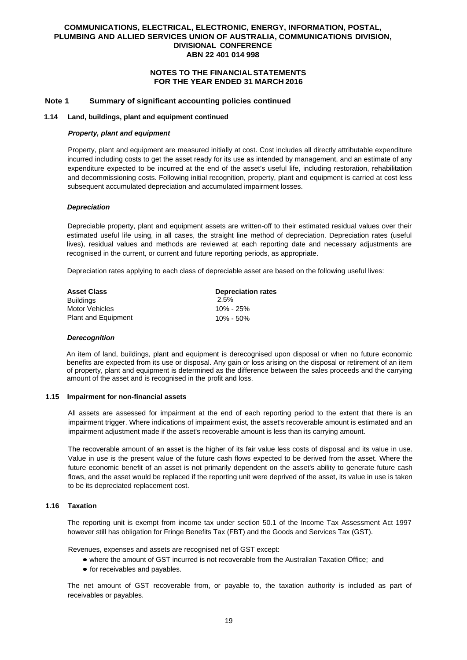### **NOTES TO THE FINANCIAL STATEMENTS FOR THE YEAR ENDED 31 MARCH 2016**

### **Note 1 Summary of significant accounting policies continued**

#### **1.14 Land, buildings, plant and equipment continued**

#### *Property, plant and equipment*

Property, plant and equipment are measured initially at cost. Cost includes all directly attributable expenditure incurred including costs to get the asset ready for its use as intended by management, and an estimate of any expenditure expected to be incurred at the end of the asset's useful life, including restoration, rehabilitation and decommissioning costs. Following initial recognition, property, plant and equipment is carried at cost less subsequent accumulated depreciation and accumulated impairment losses.

#### *Depreciation*

Depreciable property, plant and equipment assets are written-off to their estimated residual values over their estimated useful life using, in all cases, the straight line method of depreciation. Depreciation rates (useful lives), residual values and methods are reviewed at each reporting date and necessary adjustments are recognised in the current, or current and future reporting periods, as appropriate.

Depreciation rates applying to each class of depreciable asset are based on the following useful lives:

| <b>Asset Class</b>         | <b>Depreciation rates</b> |
|----------------------------|---------------------------|
| <b>Buildings</b>           | 2.5%                      |
| Motor Vehicles             | 10% - 25%                 |
| <b>Plant and Equipment</b> | 10% - 50%                 |

#### *Derecognition*

An item of land, buildings, plant and equipment is derecognised upon disposal or when no future economic benefits are expected from its use or disposal. Any gain or loss arising on the disposal or retirement of an item of property, plant and equipment is determined as the difference between the sales proceeds and the carrying amount of the asset and is recognised in the profit and loss.

#### **1.15 Impairment for non-financial assets**

All assets are assessed for impairment at the end of each reporting period to the extent that there is an impairment trigger. Where indications of impairment exist, the asset's recoverable amount is estimated and an impairment adjustment made if the asset's recoverable amount is less than its carrying amount.

The recoverable amount of an asset is the higher of its fair value less costs of disposal and its value in use. Value in use is the present value of the future cash flows expected to be derived from the asset. Where the future economic benefit of an asset is not primarily dependent on the asset's ability to generate future cash flows, and the asset would be replaced if the reporting unit were deprived of the asset, its value in use is taken to be its depreciated replacement cost.

#### **1.16 Taxation**

The reporting unit is exempt from income tax under section 50.1 of the Income Tax Assessment Act 1997 however still has obligation for Fringe Benefits Tax (FBT) and the Goods and Services Tax (GST).

Revenues, expenses and assets are recognised net of GST except:

- where the amount of GST incurred is not recoverable from the Australian Taxation Office; and
- for receivables and payables.

The net amount of GST recoverable from, or payable to, the taxation authority is included as part of receivables or payables.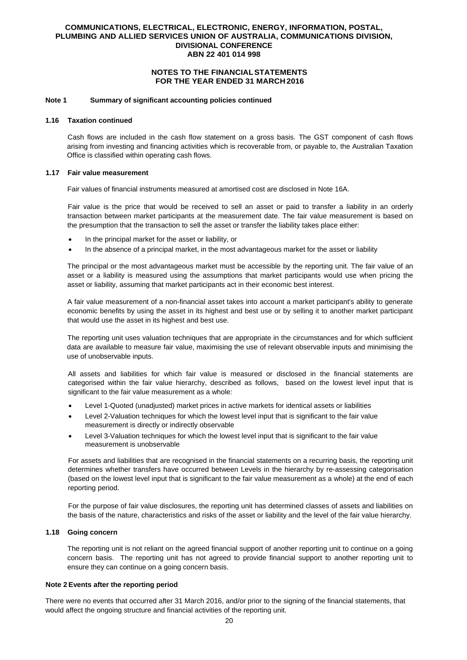## **NOTES TO THE FINANCIAL STATEMENTS FOR THE YEAR ENDED 31 MARCH 2016**

#### **Note 1 Summary of significant accounting policies continued**

#### **1.16 Taxation continued**

Cash flows are included in the cash flow statement on a gross basis. The GST component of cash flows arising from investing and financing activities which is recoverable from, or payable to, the Australian Taxation Office is classified within operating cash flows.

#### **1.17 Fair value measurement**

Fair values of financial instruments measured at amortised cost are disclosed in Note 16A.

Fair value is the price that would be received to sell an asset or paid to transfer a liability in an orderly transaction between market participants at the measurement date. The fair value measurement is based on the presumption that the transaction to sell the asset or transfer the liability takes place either:

- In the principal market for the asset or liability, or
- In the absence of a principal market, in the most advantageous market for the asset or liability

The principal or the most advantageous market must be accessible by the reporting unit. The fair value of an asset or a liability is measured using the assumptions that market participants would use when pricing the asset or liability, assuming that market participants act in their economic best interest.

A fair value measurement of a non-financial asset takes into account a market participant's ability to generate economic benefits by using the asset in its highest and best use or by selling it to another market participant that would use the asset in its highest and best use.

The reporting unit uses valuation techniques that are appropriate in the circumstances and for which sufficient data are available to measure fair value, maximising the use of relevant observable inputs and minimising the use of unobservable inputs.

All assets and liabilities for which fair value is measured or disclosed in the financial statements are categorised within the fair value hierarchy, described as follows, based on the lowest level input that is significant to the fair value measurement as a whole:

- Level 1-Quoted (unadjusted) market prices in active markets for identical assets or liabilities
- Level 2-Valuation techniques for which the lowest level input that is significant to the fair value measurement is directly or indirectly observable
- Level 3-Valuation techniques for which the lowest level input that is significant to the fair value measurement is unobservable

For assets and liabilities that are recognised in the financial statements on a recurring basis, the reporting unit determines whether transfers have occurred between Levels in the hierarchy by re-assessing categorisation (based on the lowest level input that is significant to the fair value measurement as a whole) at the end of each reporting period.

For the purpose of fair value disclosures, the reporting unit has determined classes of assets and liabilities on the basis of the nature, characteristics and risks of the asset or liability and the level of the fair value hierarchy.

#### **1.18 Going concern**

The reporting unit is not reliant on the agreed financial support of another reporting unit to continue on a going concern basis. The reporting unit has not agreed to provide financial support to another reporting unit to ensure they can continue on a going concern basis.

#### **Note 2 Events after the reporting period**

There were no events that occurred after 31 March 2016, and/or prior to the signing of the financial statements, that would affect the ongoing structure and financial activities of the reporting unit.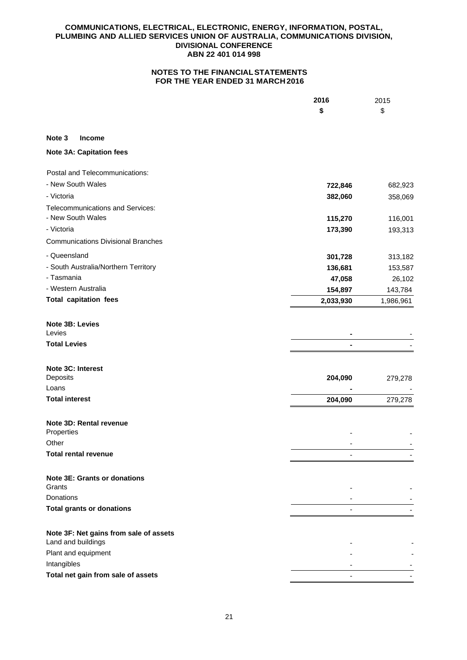|                                                              | 2016      | 2015      |
|--------------------------------------------------------------|-----------|-----------|
|                                                              | \$        | \$        |
|                                                              |           |           |
| Note 3<br><b>Income</b>                                      |           |           |
| <b>Note 3A: Capitation fees</b>                              |           |           |
| Postal and Telecommunications:                               |           |           |
| - New South Wales                                            | 722,846   | 682,923   |
| - Victoria                                                   | 382,060   | 358,069   |
| Telecommunications and Services:                             |           |           |
| - New South Wales                                            | 115,270   | 116,001   |
| - Victoria                                                   | 173,390   | 193,313   |
| <b>Communications Divisional Branches</b>                    |           |           |
| - Queensland                                                 | 301,728   | 313,182   |
| - South Australia/Northern Territory                         | 136,681   | 153,587   |
| - Tasmania                                                   | 47,058    | 26,102    |
| - Western Australia                                          | 154,897   | 143,784   |
| <b>Total capitation fees</b>                                 | 2,033,930 | 1,986,961 |
| Note 3B: Levies                                              |           |           |
| Levies                                                       |           |           |
| <b>Total Levies</b>                                          |           |           |
| Note 3C: Interest                                            |           |           |
| Deposits                                                     | 204,090   | 279,278   |
| Loans                                                        |           |           |
| <b>Total interest</b>                                        | 204,090   | 279,278   |
| Note 3D: Rental revenue<br>Properties                        |           |           |
| Other                                                        |           |           |
| <b>Total rental revenue</b>                                  |           |           |
|                                                              |           |           |
| <b>Note 3E: Grants or donations</b><br>Grants                |           |           |
| <b>Donations</b>                                             |           |           |
| <b>Total grants or donations</b>                             |           |           |
|                                                              |           |           |
| Note 3F: Net gains from sale of assets<br>Land and buildings |           |           |
| Plant and equipment                                          |           |           |
| Intangibles                                                  |           |           |
| Total net gain from sale of assets                           |           |           |
|                                                              |           |           |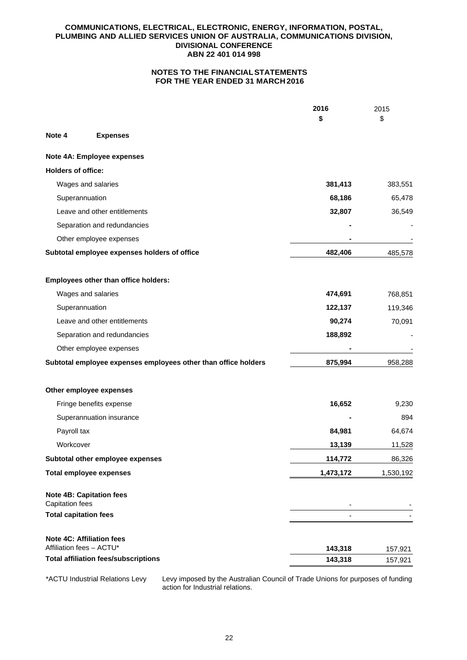# **NOTES TO THE FINANCIAL STATEMENTS FOR THE YEAR ENDED 31 MARCH 2016**

|                              |                                                                | 2016               | 2015               |
|------------------------------|----------------------------------------------------------------|--------------------|--------------------|
|                              |                                                                | \$                 | \$                 |
| Note 4                       | <b>Expenses</b>                                                |                    |                    |
|                              | Note 4A: Employee expenses                                     |                    |                    |
| <b>Holders of office:</b>    |                                                                |                    |                    |
|                              | Wages and salaries                                             | 381,413            | 383,551            |
| Superannuation               |                                                                | 68,186             | 65,478             |
|                              | Leave and other entitlements                                   | 32,807             | 36,549             |
|                              | Separation and redundancies                                    |                    |                    |
|                              | Other employee expenses                                        |                    |                    |
|                              | Subtotal employee expenses holders of office                   | 482,406            | 485,578            |
|                              | Employees other than office holders:                           |                    |                    |
|                              | Wages and salaries                                             | 474,691            | 768,851            |
| Superannuation               |                                                                | 122,137            | 119,346            |
|                              | Leave and other entitlements                                   | 90,274             | 70,091             |
|                              | Separation and redundancies                                    | 188,892            |                    |
|                              | Other employee expenses                                        |                    |                    |
|                              | Subtotal employee expenses employees other than office holders | 875,994            | 958,288            |
|                              | Other employee expenses                                        |                    |                    |
|                              | Fringe benefits expense                                        | 16,652             | 9,230              |
|                              | Superannuation insurance                                       |                    | 894                |
| Payroll tax                  |                                                                | 84,981             | 64,674             |
| Workcover                    |                                                                | 13,139             | 11,528             |
|                              | Subtotal other employee expenses                               | 114,772            | 86,326             |
|                              | <b>Total employee expenses</b>                                 | 1,473,172          | 1,530,192          |
| <b>Capitation fees</b>       | <b>Note 4B: Capitation fees</b>                                |                    |                    |
| <b>Total capitation fees</b> |                                                                |                    |                    |
| Affiliation fees - ACTU*     | <b>Note 4C: Affiliation fees</b>                               |                    |                    |
|                              | <b>Total affiliation fees/subscriptions</b>                    | 143,318<br>143,318 | 157,921<br>157,921 |
|                              |                                                                |                    |                    |

\*ACTU Industrial Relations Levy Levy imposed by the Australian Council of Trade Unions for purposes of funding action for Industrial relations.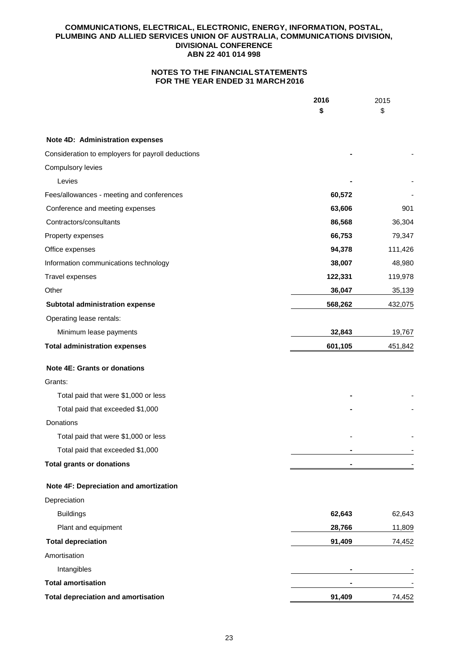|                                                   | 2016           | 2015    |
|---------------------------------------------------|----------------|---------|
|                                                   | \$             | \$      |
| Note 4D: Administration expenses                  |                |         |
| Consideration to employers for payroll deductions |                |         |
| Compulsory levies                                 |                |         |
| Levies                                            |                |         |
| Fees/allowances - meeting and conferences         | 60,572         |         |
| Conference and meeting expenses                   | 63,606         | 901     |
| Contractors/consultants                           | 86,568         | 36,304  |
| Property expenses                                 | 66,753         | 79,347  |
| Office expenses                                   | 94,378         | 111,426 |
| Information communications technology             | 38,007         | 48,980  |
| Travel expenses                                   | 122,331        | 119,978 |
| Other                                             | 36,047         | 35,139  |
| Subtotal administration expense                   | 568,262        | 432,075 |
| Operating lease rentals:                          |                |         |
| Minimum lease payments                            | 32,843         | 19,767  |
| <b>Total administration expenses</b>              | 601,105        | 451,842 |
| <b>Note 4E: Grants or donations</b>               |                |         |
| Grants:                                           |                |         |
| Total paid that were \$1,000 or less              |                |         |
| Total paid that exceeded \$1,000                  |                |         |
| <b>Donations</b>                                  |                |         |
| Total paid that were \$1,000 or less              |                |         |
| Total paid that exceeded \$1,000                  | $\blacksquare$ |         |
| <b>Total grants or donations</b>                  |                |         |
| Note 4F: Depreciation and amortization            |                |         |
| Depreciation                                      |                |         |
| <b>Buildings</b>                                  | 62,643         | 62,643  |
| Plant and equipment                               | 28,766         | 11,809  |
| <b>Total depreciation</b>                         | 91,409         | 74,452  |
| Amortisation                                      |                |         |
| Intangibles                                       |                |         |
| <b>Total amortisation</b>                         |                |         |
| <b>Total depreciation and amortisation</b>        | 91,409         | 74,452  |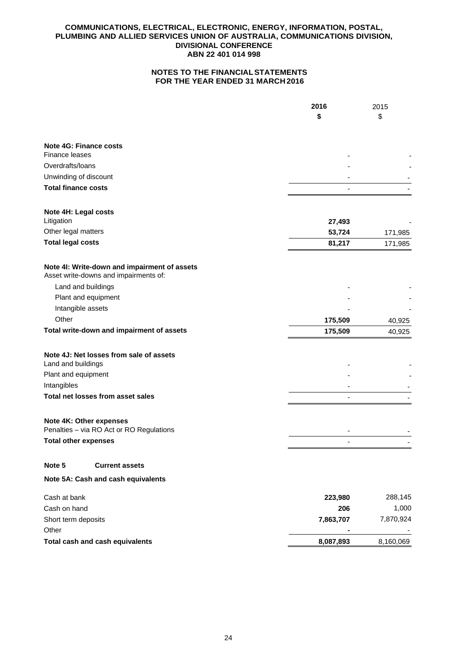|                                                                                       | 2016           | 2015      |
|---------------------------------------------------------------------------------------|----------------|-----------|
|                                                                                       | \$             | \$        |
|                                                                                       |                |           |
| Note 4G: Finance costs                                                                |                |           |
| Finance leases                                                                        |                |           |
| Overdrafts/loans                                                                      |                |           |
| Unwinding of discount                                                                 |                |           |
| <b>Total finance costs</b>                                                            |                |           |
| Note 4H: Legal costs<br>Litigation                                                    | 27,493         |           |
| Other legal matters                                                                   | 53,724         | 171,985   |
| <b>Total legal costs</b>                                                              | 81,217         | 171,985   |
| Note 4I: Write-down and impairment of assets<br>Asset write-downs and impairments of: |                |           |
| Land and buildings                                                                    |                |           |
| Plant and equipment                                                                   |                |           |
| Intangible assets                                                                     |                |           |
| Other                                                                                 | 175,509        | 40,925    |
| Total write-down and impairment of assets                                             | 175,509        | 40,925    |
| Note 4J: Net losses from sale of assets                                               |                |           |
| Land and buildings                                                                    |                |           |
| Plant and equipment                                                                   |                |           |
| Intangibles                                                                           |                |           |
| Total net losses from asset sales                                                     |                |           |
| Note 4K: Other expenses                                                               |                |           |
| Penalties - via RO Act or RO Regulations                                              |                |           |
| <b>Total other expenses</b>                                                           | $\overline{a}$ |           |
| Note 5<br><b>Current assets</b>                                                       |                |           |
| Note 5A: Cash and cash equivalents                                                    |                |           |
| Cash at bank                                                                          | 223,980        | 288,145   |
| Cash on hand                                                                          | 206            | 1,000     |
| Short term deposits                                                                   | 7,863,707      | 7,870,924 |
| Other                                                                                 |                |           |
| Total cash and cash equivalents                                                       | 8,087,893      | 8,160,069 |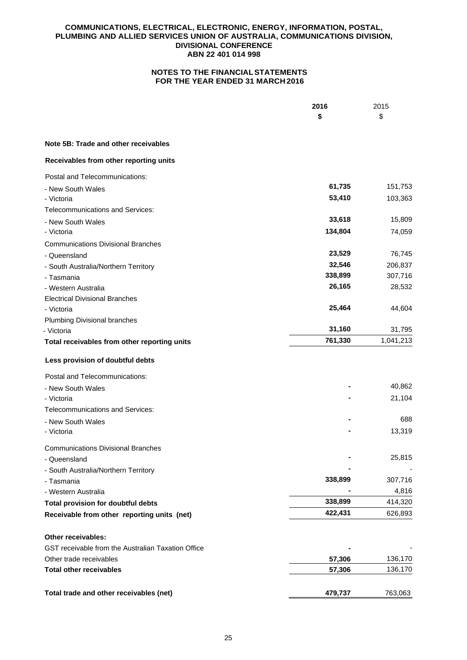|                                                    | 2016    | 2015      |
|----------------------------------------------------|---------|-----------|
|                                                    | \$      | \$        |
| Note 5B: Trade and other receivables               |         |           |
| Receivables from other reporting units             |         |           |
| Postal and Telecommunications:                     |         |           |
| - New South Wales                                  | 61,735  | 151,753   |
| - Victoria                                         | 53,410  | 103,363   |
| <b>Telecommunications and Services:</b>            |         |           |
| - New South Wales                                  | 33,618  | 15,809    |
| - Victoria                                         | 134,804 | 74,059    |
| <b>Communications Divisional Branches</b>          |         |           |
| - Queensland                                       | 23,529  | 76,745    |
| - South Australia/Northern Territory               | 32,546  | 206,837   |
| - Tasmania                                         | 338,899 | 307,716   |
| - Western Australia                                | 26,165  | 28,532    |
| <b>Electrical Divisional Branches</b>              |         |           |
| - Victoria                                         | 25,464  | 44,604    |
| Plumbing Divisional branches                       |         |           |
| - Victoria                                         | 31,160  | 31,795    |
| Total receivables from other reporting units       | 761,330 | 1,041,213 |
| Less provision of doubtful debts                   |         |           |
| Postal and Telecommunications:                     |         |           |
| - New South Wales                                  |         | 40,862    |
| - Victoria                                         |         | 21,104    |
| Telecommunications and Services:                   |         |           |
| - New South Wales                                  |         | 688       |
| - Victoria                                         |         | 13,319    |
| <b>Communications Divisional Branches</b>          |         |           |
| - Queensland                                       |         | 25,815    |
| - South Australia/Northern Territory               |         |           |
| - Tasmania                                         | 338,899 | 307,716   |
| - Western Australia                                |         | 4,816     |
| <b>Total provision for doubtful debts</b>          | 338,899 | 414,320   |
| Receivable from other reporting units (net)        | 422,431 | 626,893   |
| Other receivables:                                 |         |           |
| GST receivable from the Australian Taxation Office |         |           |
| Other trade receivables                            | 57,306  | 136,170   |
| <b>Total other receivables</b>                     | 57,306  | 136,170   |
|                                                    |         |           |
| Total trade and other receivables (net)            | 479,737 | 763,063   |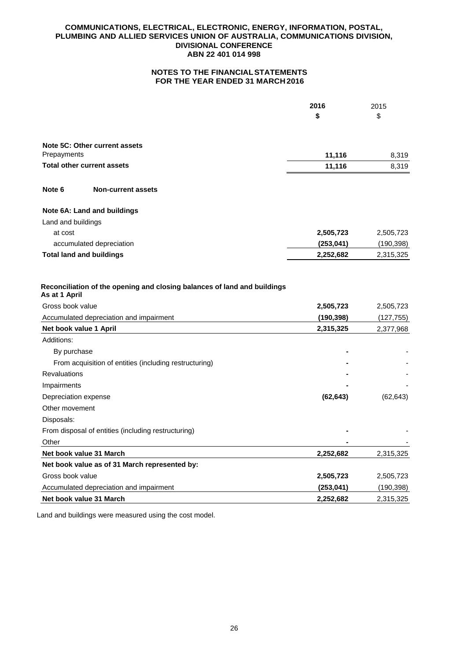# **NOTES TO THE FINANCIAL STATEMENTS FOR THE YEAR ENDED 31 MARCH 2016**

|                        |                                                                          | 2016       | 2015       |
|------------------------|--------------------------------------------------------------------------|------------|------------|
|                        |                                                                          | \$         | \$         |
|                        | Note 5C: Other current assets                                            |            |            |
| Prepayments            |                                                                          | 11,116     | 8,319      |
|                        | <b>Total other current assets</b>                                        | 11,116     | 8,319      |
| Note 6                 | <b>Non-current assets</b>                                                |            |            |
|                        | Note 6A: Land and buildings                                              |            |            |
| Land and buildings     |                                                                          |            |            |
| at cost                |                                                                          | 2,505,723  | 2,505,723  |
|                        | accumulated depreciation                                                 | (253, 041) | (190, 398) |
|                        | <b>Total land and buildings</b>                                          | 2,252,682  | 2,315,325  |
| As at 1 April          | Reconciliation of the opening and closing balances of land and buildings |            |            |
| Gross book value       |                                                                          | 2,505,723  | 2,505,723  |
|                        | Accumulated depreciation and impairment                                  | (190, 398) | (127, 755) |
| Net book value 1 April |                                                                          | 2,315,325  | 2,377,968  |
| Additions:             |                                                                          |            |            |
| By purchase            |                                                                          |            |            |
|                        | From acquisition of entities (including restructuring)                   |            |            |
| <b>Revaluations</b>    |                                                                          |            |            |
| Impairments            |                                                                          |            |            |
| Depreciation expense   |                                                                          | (62, 643)  | (62, 643)  |
| Other movement         |                                                                          |            |            |
| Disposals:             |                                                                          |            |            |
|                        | From disposal of entities (including restructuring)                      |            |            |
| Other                  |                                                                          |            |            |
|                        | Net book value 31 March                                                  | 2,252,682  | 2,315,325  |
|                        | Net book value as of 31 March represented by:                            |            |            |
| Gross book value       |                                                                          | 2,505,723  | 2,505,723  |
|                        | Accumulated depreciation and impairment                                  | (253, 041) | (190, 398) |
|                        | Net book value 31 March                                                  | 2,252,682  | 2,315,325  |

Land and buildings were measured using the cost model.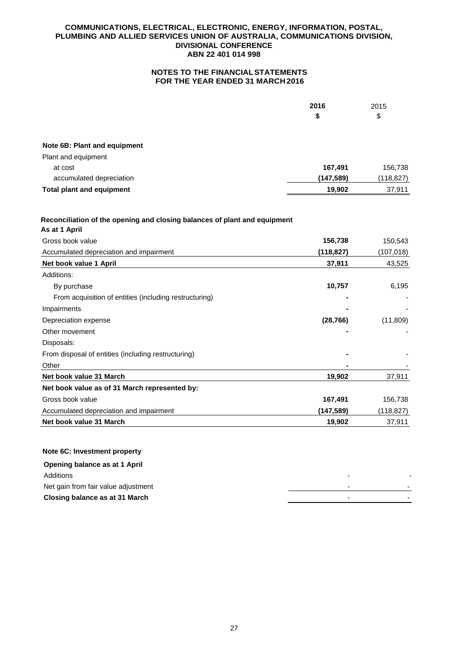# **NOTES TO THE FINANCIAL STATEMENTS FOR THE YEAR ENDED 31 MARCH 2016**

|                                                                                            | 2016       | 2015      |
|--------------------------------------------------------------------------------------------|------------|-----------|
|                                                                                            | \$         | \$        |
| Note 6B: Plant and equipment                                                               |            |           |
| Plant and equipment                                                                        |            |           |
| at cost                                                                                    | 167,491    | 156,738   |
| accumulated depreciation                                                                   | (147,589)  | (118,827) |
| <b>Total plant and equipment</b>                                                           | 19,902     | 37,911    |
| Reconciliation of the opening and closing balances of plant and equipment<br>As at 1 April |            |           |
| Gross book value                                                                           | 156,738    | 150,543   |
| Accumulated depreciation and impairment                                                    | (118, 827) | (107,018) |
| Net book value 1 April                                                                     | 37,911     | 43,525    |

| Additions:                                             |           |           |
|--------------------------------------------------------|-----------|-----------|
| By purchase                                            | 10,757    | 6,195     |
| From acquisition of entities (including restructuring) |           |           |
| Impairments                                            |           |           |
| Depreciation expense                                   | (28, 766) | (11, 809) |
| Other movement                                         |           |           |
| Disposals:                                             |           |           |
| From disposal of entities (including restructuring)    |           |           |
| Other                                                  |           |           |
| Net book value 31 March                                | 19,902    | 37,911    |
| Net book value as of 31 March represented by:          |           |           |
| Gross book value                                       | 167,491   | 156,738   |
| Accumulated depreciation and impairment                | (147,589) | (118,827) |
| Net book value 31 March                                | 19,902    | 37,911    |

# **Note 6C: Investment property**

| Opening balance as at 1 April       |   |  |
|-------------------------------------|---|--|
| Additions                           |   |  |
| Net gain from fair value adjustment | - |  |
| Closing balance as at 31 March      |   |  |
|                                     |   |  |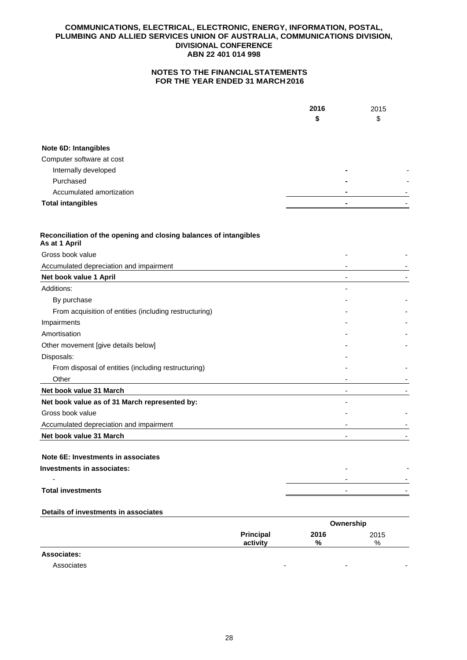# **NOTES TO THE FINANCIAL STATEMENTS FOR THE YEAR ENDED 31 MARCH 2016**

|                             | 2016 | 2015                          |
|-----------------------------|------|-------------------------------|
|                             | \$   | \$                            |
|                             |      |                               |
| <b>Note 6D: Intangibles</b> |      |                               |
| Computer software at cost   |      |                               |
| Internally developed        |      |                               |
| Purchased                   |      | $\overline{\phantom{0}}$<br>- |
| Accumulated amortization    |      |                               |
| <b>Total intangibles</b>    |      |                               |
|                             |      |                               |

| Reconciliation of the opening and closing balances of intangibles<br>As at 1 April |  |
|------------------------------------------------------------------------------------|--|
| Gross book value                                                                   |  |
| Accumulated depreciation and impairment                                            |  |
| Net book value 1 April                                                             |  |
| Additions:                                                                         |  |
| By purchase                                                                        |  |
| From acquisition of entities (including restructuring)                             |  |
| Impairments                                                                        |  |
| Amortisation                                                                       |  |
| Other movement [give details below]                                                |  |
| Disposals:                                                                         |  |
| From disposal of entities (including restructuring)                                |  |
| Other                                                                              |  |
| Net book value 31 March                                                            |  |
| Net book value as of 31 March represented by:                                      |  |
| Gross book value                                                                   |  |
| Accumulated depreciation and impairment                                            |  |
| Net book value 31 March                                                            |  |
|                                                                                    |  |
| Note 6E: Investments in associates                                                 |  |
| a da a fua a cantar dun araba a la fanta                                           |  |

| Investments in associates: |  |
|----------------------------|--|
| $\sim$                     |  |
| <b>Total investments</b>   |  |
|                            |  |

## **Details of investments in associates**

|                    |                  | Ownership |      |
|--------------------|------------------|-----------|------|
|                    | <b>Principal</b> | 2016      |      |
|                    | activity         | %         | $\%$ |
| <b>Associates:</b> |                  |           |      |

Associates - - -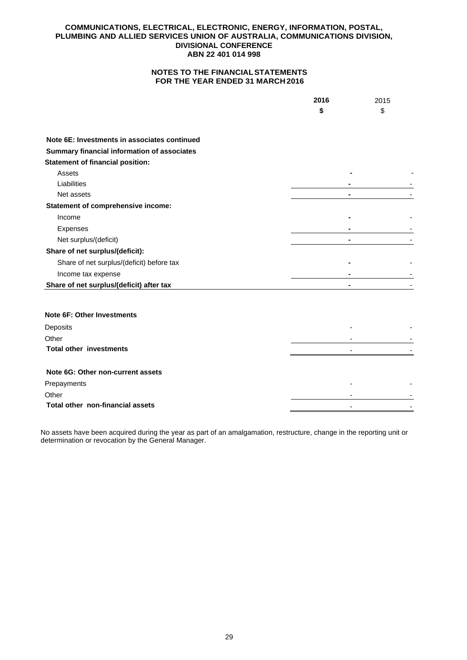# **NOTES TO THE FINANCIAL STATEMENTS FOR THE YEAR ENDED 31 MARCH 2016**

|                                              | 2016           | 2015 |
|----------------------------------------------|----------------|------|
|                                              | \$             | \$   |
|                                              |                |      |
| Note 6E: Investments in associates continued |                |      |
| Summary financial information of associates  |                |      |
| <b>Statement of financial position:</b>      |                |      |
| Assets                                       |                |      |
| Liabilities                                  |                |      |
| Net assets                                   | $\blacksquare$ |      |
| Statement of comprehensive income:           |                |      |
| Income                                       |                |      |
| Expenses                                     |                |      |
| Net surplus/(deficit)                        |                |      |
| Share of net surplus/(deficit):              |                |      |
| Share of net surplus/(deficit) before tax    |                |      |
| Income tax expense                           |                |      |
| Share of net surplus/(deficit) after tax     | $\blacksquare$ |      |
|                                              |                |      |
| <b>Note 6F: Other Investments</b>            |                |      |
| Deposits                                     |                |      |
| Other                                        |                |      |
| <b>Total other investments</b>               |                |      |
|                                              |                |      |
| Note 6G: Other non-current assets            |                |      |
| Prepayments                                  |                |      |
| Other                                        |                |      |
| Total other non-financial assets             |                |      |
|                                              |                |      |

No assets have been acquired during the year as part of an amalgamation, restructure, change in the reporting unit or determination or revocation by the General Manager.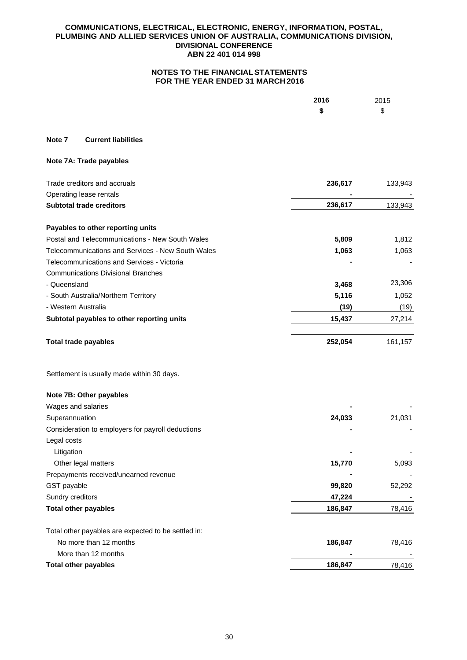|                                                     | 2016<br>\$ | 2015<br>\$ |
|-----------------------------------------------------|------------|------------|
|                                                     |            |            |
| Note 7<br><b>Current liabilities</b>                |            |            |
| Note 7A: Trade payables                             |            |            |
| Trade creditors and accruals                        | 236,617    | 133,943    |
| Operating lease rentals                             |            |            |
| <b>Subtotal trade creditors</b>                     | 236,617    | 133,943    |
| Payables to other reporting units                   |            |            |
| Postal and Telecommunications - New South Wales     | 5,809      | 1,812      |
| Telecommunications and Services - New South Wales   | 1,063      | 1,063      |
| Telecommunications and Services - Victoria          |            |            |
| <b>Communications Divisional Branches</b>           |            |            |
| - Queensland                                        | 3,468      | 23,306     |
| - South Australia/Northern Territory                | 5,116      | 1,052      |
| - Western Australia                                 | (19)       | (19)       |
| Subtotal payables to other reporting units          | 15,437     | 27,214     |
| <b>Total trade payables</b>                         | 252,054    | 161,157    |
| Settlement is usually made within 30 days.          |            |            |
| Note 7B: Other payables                             |            |            |
| Wages and salaries                                  |            |            |
| Superannuation                                      | 24,033     | 21,031     |
| Consideration to employers for payroll deductions   |            |            |
| Legal costs                                         |            |            |
| Litigation                                          |            |            |
| Other legal matters                                 | 15,770     | 5,093      |
| Prepayments received/unearned revenue               |            |            |
| GST payable                                         | 99,820     | 52,292     |
| Sundry creditors                                    | 47,224     |            |
| <b>Total other payables</b>                         | 186,847    | 78,416     |
| Total other payables are expected to be settled in: |            |            |
| No more than 12 months                              | 186,847    | 78,416     |
| More than 12 months                                 |            |            |
| <b>Total other payables</b>                         | 186,847    | 78,416     |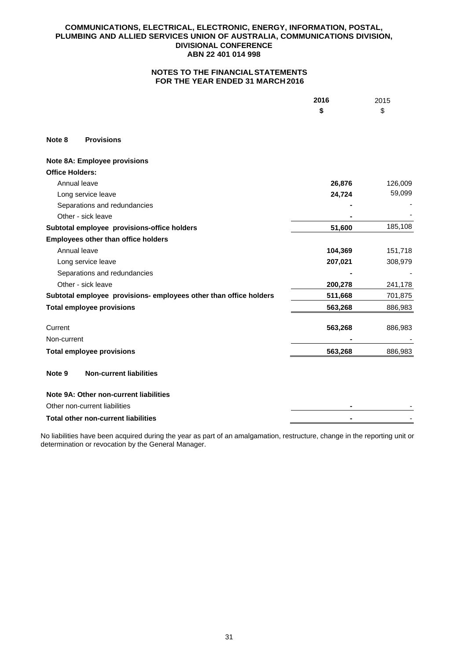# **NOTES TO THE FINANCIAL STATEMENTS FOR THE YEAR ENDED 31 MARCH 2016**

|                        |                                                                   | 2016    | 2015    |
|------------------------|-------------------------------------------------------------------|---------|---------|
|                        |                                                                   | \$      | \$      |
| Note 8                 | <b>Provisions</b>                                                 |         |         |
|                        | <b>Note 8A: Employee provisions</b>                               |         |         |
| <b>Office Holders:</b> |                                                                   |         |         |
| Annual leave           |                                                                   | 26,876  | 126,009 |
|                        | Long service leave                                                | 24,724  | 59,099  |
|                        | Separations and redundancies                                      |         |         |
|                        | Other - sick leave                                                |         |         |
|                        | Subtotal employee provisions-office holders                       | 51,600  | 185,108 |
|                        | <b>Employees other than office holders</b>                        |         |         |
| Annual leave           |                                                                   | 104,369 | 151,718 |
|                        | Long service leave                                                | 207,021 | 308,979 |
|                        | Separations and redundancies                                      |         |         |
|                        | Other - sick leave                                                | 200,278 | 241,178 |
|                        | Subtotal employee provisions- employees other than office holders | 511,668 | 701,875 |
|                        | <b>Total employee provisions</b>                                  | 563,268 | 886,983 |
| Current                |                                                                   | 563,268 | 886,983 |
| Non-current            |                                                                   |         |         |
|                        | <b>Total employee provisions</b>                                  | 563,268 | 886,983 |
| Note 9                 | <b>Non-current liabilities</b>                                    |         |         |
|                        | Note 9A: Other non-current liabilities                            |         |         |
|                        | Other non-current liabilities                                     |         |         |
|                        | <b>Total other non-current liabilities</b>                        |         |         |

No liabilities have been acquired during the year as part of an amalgamation, restructure, change in the reporting unit or determination or revocation by the General Manager.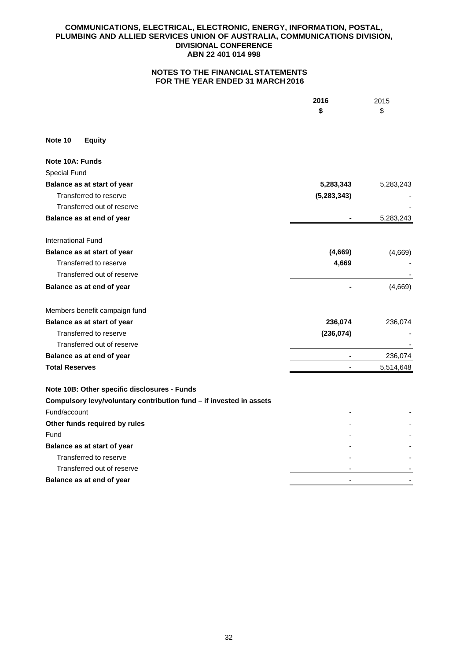|                                                                     | 2016          | 2015      |
|---------------------------------------------------------------------|---------------|-----------|
|                                                                     | \$            | \$        |
| Note 10<br><b>Equity</b>                                            |               |           |
| Note 10A: Funds                                                     |               |           |
| Special Fund                                                        |               |           |
| Balance as at start of year                                         | 5,283,343     | 5,283,243 |
| Transferred to reserve                                              | (5, 283, 343) |           |
| Transferred out of reserve                                          |               |           |
| Balance as at end of year                                           |               | 5,283,243 |
| International Fund                                                  |               |           |
| Balance as at start of year                                         | (4,669)       | (4,669)   |
| Transferred to reserve                                              | 4,669         |           |
| Transferred out of reserve                                          |               |           |
| Balance as at end of year                                           |               | (4,669)   |
| Members benefit campaign fund                                       |               |           |
| Balance as at start of year                                         | 236,074       | 236,074   |
| Transferred to reserve                                              | (236, 074)    |           |
| Transferred out of reserve                                          |               |           |
| Balance as at end of year                                           |               | 236,074   |
| <b>Total Reserves</b>                                               |               | 5,514,648 |
| Note 10B: Other specific disclosures - Funds                        |               |           |
| Compulsory levy/voluntary contribution fund - if invested in assets |               |           |
| Fund/account                                                        |               |           |
| Other funds required by rules                                       |               |           |
| Fund                                                                |               |           |
| Balance as at start of year                                         |               |           |
| Transferred to reserve                                              |               |           |
| Transferred out of reserve                                          |               |           |
| Balance as at end of year                                           |               |           |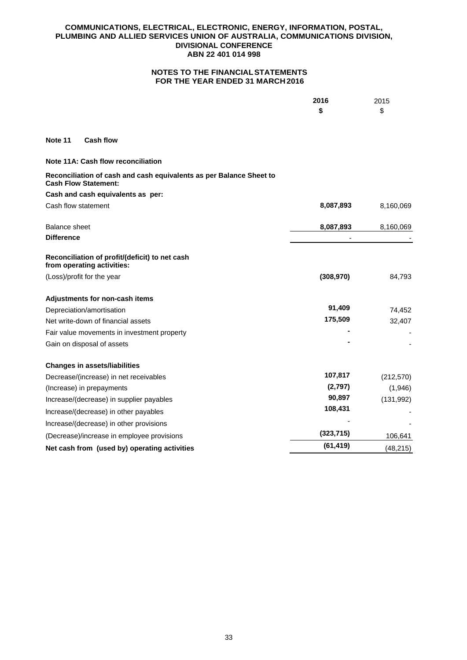|                                                                                                    | 2016       | 2015       |
|----------------------------------------------------------------------------------------------------|------------|------------|
|                                                                                                    | \$         | \$         |
| <b>Cash flow</b><br>Note 11                                                                        |            |            |
| Note 11A: Cash flow reconciliation                                                                 |            |            |
| Reconciliation of cash and cash equivalents as per Balance Sheet to<br><b>Cash Flow Statement:</b> |            |            |
| Cash and cash equivalents as per:                                                                  |            |            |
| Cash flow statement                                                                                | 8,087,893  | 8,160,069  |
| <b>Balance sheet</b>                                                                               | 8,087,893  | 8,160,069  |
| <b>Difference</b>                                                                                  |            |            |
| Reconciliation of profit/(deficit) to net cash<br>from operating activities:                       |            |            |
| (Loss)/profit for the year                                                                         | (308, 970) | 84,793     |
| Adjustments for non-cash items                                                                     |            |            |
| Depreciation/amortisation                                                                          | 91,409     | 74,452     |
| Net write-down of financial assets                                                                 | 175,509    | 32,407     |
| Fair value movements in investment property                                                        |            |            |
| Gain on disposal of assets                                                                         |            |            |
| <b>Changes in assets/liabilities</b>                                                               |            |            |
| Decrease/(increase) in net receivables                                                             | 107,817    | (212, 570) |
| (Increase) in prepayments                                                                          | (2,797)    | (1,946)    |
| Increase/(decrease) in supplier payables                                                           | 90,897     | (131, 992) |
| Increase/(decrease) in other payables                                                              | 108,431    |            |
| Increase/(decrease) in other provisions                                                            |            |            |
| (Decrease)/increase in employee provisions                                                         | (323, 715) | 106,641    |
| Net cash from (used by) operating activities                                                       | (61, 419)  | (48, 215)  |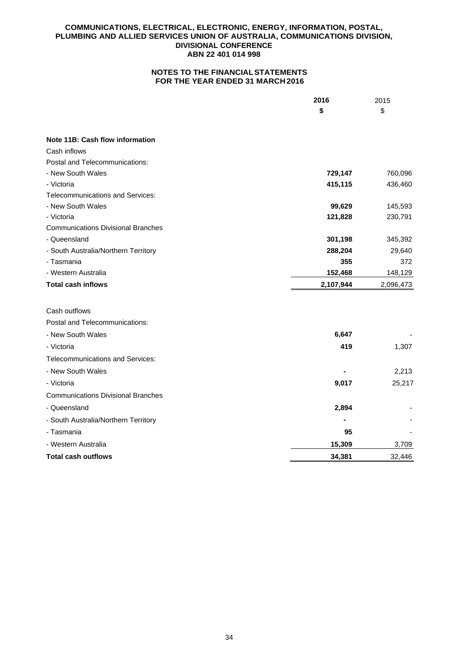|                                           | 2016      | 2015      |
|-------------------------------------------|-----------|-----------|
|                                           | \$        | \$        |
|                                           |           |           |
| Note 11B: Cash flow information           |           |           |
| Cash inflows                              |           |           |
| Postal and Telecommunications:            |           |           |
| - New South Wales                         | 729,147   | 760,096   |
| - Victoria                                | 415,115   | 436,460   |
| Telecommunications and Services:          |           |           |
| - New South Wales                         | 99,629    | 145,593   |
| - Victoria                                | 121,828   | 230,791   |
| <b>Communications Divisional Branches</b> |           |           |
| - Queensland                              | 301,198   | 345,392   |
| - South Australia/Northern Territory      | 288,204   | 29,640    |
| - Tasmania                                | 355       | 372       |
| - Western Australia                       | 152,468   | 148,129   |
| <b>Total cash inflows</b>                 | 2,107,944 | 2,096,473 |
|                                           |           |           |
| Cash outflows                             |           |           |
| Postal and Telecommunications:            |           |           |
| - New South Wales                         | 6,647     |           |
| - Victoria                                | 419       | 1,307     |
| Telecommunications and Services:          |           |           |
| - New South Wales                         |           | 2,213     |
| - Victoria                                | 9,017     | 25,217    |
| <b>Communications Divisional Branches</b> |           |           |
| - Queensland                              | 2,894     |           |
| - South Australia/Northern Territory      |           |           |
| - Tasmania                                | 95        |           |
| - Western Australia                       | 15,309    | 3,709     |
| <b>Total cash outflows</b>                | 34,381    | 32,446    |
|                                           |           |           |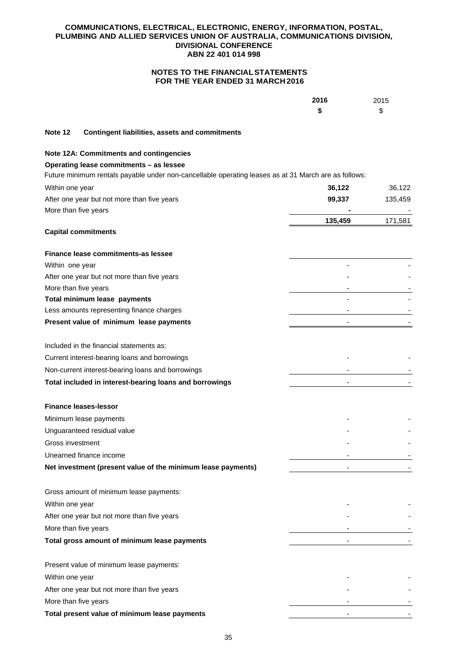|                  |                                                                                                      | 2016    | 2015    |
|------------------|------------------------------------------------------------------------------------------------------|---------|---------|
|                  |                                                                                                      | \$      | \$      |
| Note 12          | <b>Contingent liabilities, assets and commitments</b>                                                |         |         |
|                  | <b>Note 12A: Commitments and contingencies</b>                                                       |         |         |
|                  | Operating lease commitments - as lessee                                                              |         |         |
|                  | Future minimum rentals payable under non-cancellable operating leases as at 31 March are as follows: |         |         |
| Within one year  |                                                                                                      | 36,122  | 36,122  |
|                  | After one year but not more than five years                                                          | 99,337  | 135,459 |
|                  | More than five years                                                                                 | 135,459 | 171,581 |
|                  | <b>Capital commitments</b>                                                                           |         |         |
|                  | Finance lease commitments-as lessee                                                                  |         |         |
| Within one year  |                                                                                                      |         |         |
|                  | After one year but not more than five years                                                          |         |         |
|                  | More than five years                                                                                 |         |         |
|                  | Total minimum lease payments                                                                         |         |         |
|                  | Less amounts representing finance charges                                                            |         |         |
|                  | Present value of minimum lease payments                                                              |         |         |
|                  | Included in the financial statements as:                                                             |         |         |
|                  | Current interest-bearing loans and borrowings                                                        |         |         |
|                  | Non-current interest-bearing loans and borrowings                                                    |         |         |
|                  | Total included in interest-bearing loans and borrowings                                              |         |         |
|                  | <b>Finance leases-lessor</b>                                                                         |         |         |
|                  | Minimum lease payments                                                                               |         |         |
|                  | Unguaranteed residual value                                                                          |         |         |
| Gross investment |                                                                                                      |         |         |
|                  | Unearned finance income                                                                              |         |         |
|                  | Net investment (present value of the minimum lease payments)                                         |         |         |
|                  | Gross amount of minimum lease payments:                                                              |         |         |
| Within one year  |                                                                                                      |         |         |
|                  | After one year but not more than five years                                                          |         |         |
|                  | More than five years                                                                                 |         |         |
|                  | Total gross amount of minimum lease payments                                                         |         |         |
|                  | Present value of minimum lease payments:                                                             |         |         |
| Within one year  |                                                                                                      |         |         |
|                  | After one year but not more than five years                                                          |         |         |
|                  | More than five years                                                                                 |         |         |
|                  | Total present value of minimum lease payments                                                        |         |         |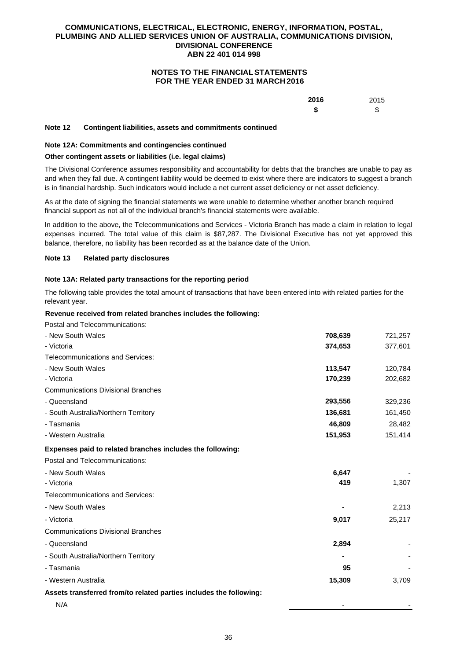# **NOTES TO THE FINANCIAL STATEMENTS FOR THE YEAR ENDED 31 MARCH 2016**

| 2016 | 2015 |
|------|------|
| \$   | \$   |

#### **Note 12 Contingent liabilities, assets and commitments continued**

#### **Note 12A: Commitments and contingencies continued**

### **Other contingent assets or liabilities (i.e. legal claims)**

The Divisional Conference assumes responsibility and accountability for debts that the branches are unable to pay as and when they fall due. A contingent liability would be deemed to exist where there are indicators to suggest a branch is in financial hardship. Such indicators would include a net current asset deficiency or net asset deficiency.

As at the date of signing the financial statements we were unable to determine whether another branch required financial support as not all of the individual branch's financial statements were available.

In addition to the above, the Telecommunications and Services - Victoria Branch has made a claim in relation to legal expenses incurred. The total value of this claim is \$87,287. The Divisional Executive has not yet approved this balance, therefore, no liability has been recorded as at the balance date of the Union.

### **Note 13 Related party disclosures**

### **Note 13A: Related party transactions for the reporting period**

The following table provides the total amount of transactions that have been entered into with related parties for the relevant year.

### **Revenue received from related branches includes the following:**

Postal and Telecommunications:

| - New South Wales                                                  | 708,639 | 721,257 |
|--------------------------------------------------------------------|---------|---------|
| - Victoria                                                         | 374,653 | 377,601 |
| <b>Telecommunications and Services:</b>                            |         |         |
| - New South Wales                                                  | 113,547 | 120,784 |
| - Victoria                                                         | 170,239 | 202,682 |
| <b>Communications Divisional Branches</b>                          |         |         |
| - Queensland                                                       | 293,556 | 329,236 |
| - South Australia/Northern Territory                               | 136,681 | 161,450 |
| - Tasmania                                                         | 46,809  | 28,482  |
| - Western Australia                                                | 151,953 | 151,414 |
| Expenses paid to related branches includes the following:          |         |         |
| Postal and Telecommunications:                                     |         |         |
| - New South Wales                                                  | 6,647   |         |
| - Victoria                                                         | 419     | 1,307   |
| Telecommunications and Services:                                   |         |         |
| - New South Wales                                                  |         | 2,213   |
| - Victoria                                                         | 9,017   | 25,217  |
| <b>Communications Divisional Branches</b>                          |         |         |
| - Queensland                                                       | 2,894   |         |
| - South Australia/Northern Territory                               |         |         |
| - Tasmania                                                         | 95      |         |
| - Western Australia                                                | 15,309  | 3,709   |
| Assets transferred from/to related parties includes the following: |         |         |
| N/A                                                                |         |         |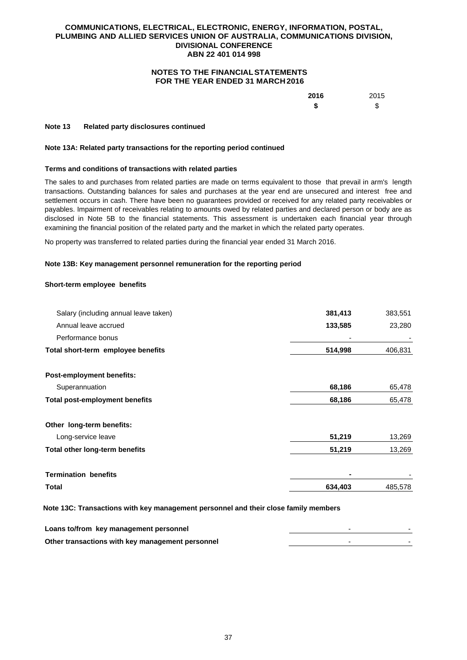# **NOTES TO THE FINANCIAL STATEMENTS FOR THE YEAR ENDED 31 MARCH 2016**

| 2016 | 2015 |
|------|------|
| \$   | \$   |

#### **Note 13 Related party disclosures continued**

#### **Note 13A: Related party transactions for the reporting period continued**

### **Terms and conditions of transactions with related parties**

The sales to and purchases from related parties are made on terms equivalent to those that prevail in arm's length transactions. Outstanding balances for sales and purchases at the year end are unsecured and interest free and settlement occurs in cash. There have been no guarantees provided or received for any related party receivables or payables. Impairment of receivables relating to amounts owed by related parties and declared person or body are as disclosed in Note 5B to the financial statements. This assessment is undertaken each financial year through examining the financial position of the related party and the market in which the related party operates.

No property was transferred to related parties during the financial year ended 31 March 2016.

### **Note 13B: Key management personnel remuneration for the reporting period**

#### **Short-term employee benefits**

| Salary (including annual leave taken) | 381,413 | 383,551 |
|---------------------------------------|---------|---------|
| Annual leave accrued                  | 133,585 | 23,280  |
| Performance bonus                     |         |         |
| Total short-term employee benefits    | 514,998 | 406,831 |
| <b>Post-employment benefits:</b>      |         |         |
| Superannuation                        | 68,186  | 65,478  |
| <b>Total post-employment benefits</b> | 68,186  | 65,478  |
| Other long-term benefits:             |         |         |
| Long-service leave                    | 51,219  | 13,269  |
| <b>Total other long-term benefits</b> | 51,219  | 13,269  |
| <b>Termination benefits</b>           |         |         |
| Total                                 | 634,403 | 485,578 |

 **Note 13C: Transactions with key management personnel and their close family members**

| Loans to/from key management personnel           |  |
|--------------------------------------------------|--|
| Other transactions with key management personnel |  |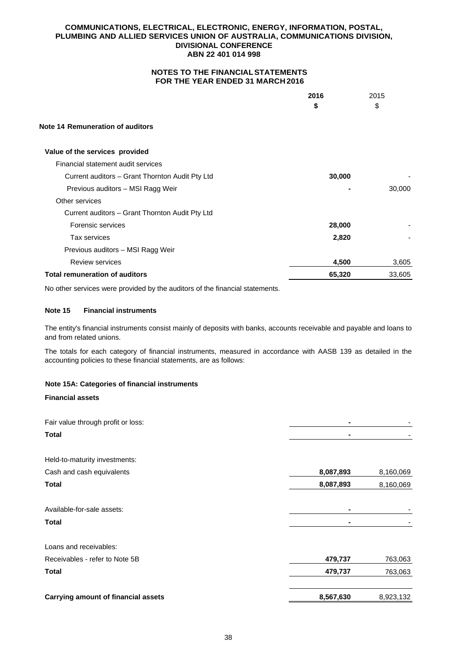# **NOTES TO THE FINANCIAL STATEMENTS FOR THE YEAR ENDED 31 MARCH 2016**

|                                                 | 2016   | 2015   |
|-------------------------------------------------|--------|--------|
|                                                 | \$     | \$     |
| Note 14 Remuneration of auditors                |        |        |
| Value of the services provided                  |        |        |
| Financial statement audit services              |        |        |
| Current auditors – Grant Thornton Audit Pty Ltd | 30,000 |        |
| Previous auditors - MSI Ragg Weir               |        | 30,000 |
| Other services                                  |        |        |
| Current auditors - Grant Thornton Audit Pty Ltd |        |        |
| Forensic services                               | 28,000 |        |
| Tax services                                    | 2,820  |        |
| Previous auditors - MSI Ragg Weir               |        |        |
| <b>Review services</b>                          | 4,500  | 3,605  |
| <b>Total remuneration of auditors</b>           | 65,320 | 33,605 |

No other services were provided by the auditors of the financial statements.

## **Note 15 Financial instruments**

The entity's financial instruments consist mainly of deposits with banks, accounts receivable and payable and loans to and from related unions.

The totals for each category of financial instruments, measured in accordance with AASB 139 as detailed in the accounting policies to these financial statements, are as follows:

# **Note 15A: Categories of financial instruments**

## **Financial assets**

| Fair value through profit or loss:         |           |           |
|--------------------------------------------|-----------|-----------|
| <b>Total</b>                               |           |           |
| Held-to-maturity investments:              |           |           |
| Cash and cash equivalents                  | 8,087,893 | 8,160,069 |
| <b>Total</b>                               | 8,087,893 | 8,160,069 |
| Available-for-sale assets:                 |           |           |
| <b>Total</b>                               |           |           |
| Loans and receivables:                     |           |           |
| Receivables - refer to Note 5B             | 479,737   | 763,063   |
| <b>Total</b>                               | 479,737   | 763,063   |
| <b>Carrying amount of financial assets</b> | 8,567,630 | 8,923,132 |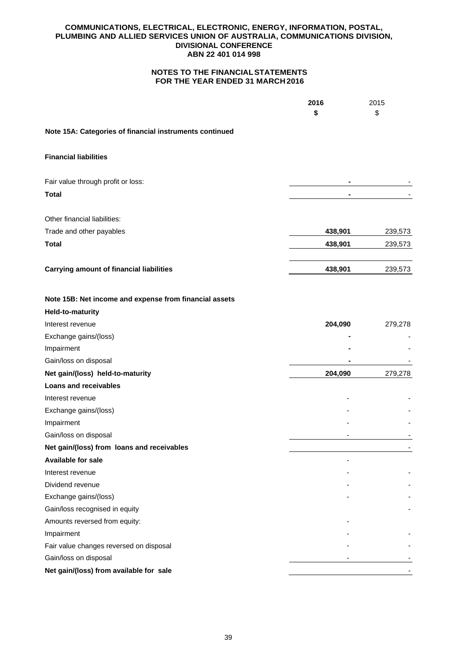|                                                         | 2016    | 2015    |
|---------------------------------------------------------|---------|---------|
|                                                         | \$      | \$      |
| Note 15A: Categories of financial instruments continued |         |         |
| <b>Financial liabilities</b>                            |         |         |
| Fair value through profit or loss:                      |         |         |
| <b>Total</b>                                            |         |         |
|                                                         |         |         |
| Other financial liabilities:                            |         |         |
| Trade and other payables                                | 438,901 | 239,573 |
| <b>Total</b>                                            | 438,901 | 239,573 |
|                                                         |         |         |
| <b>Carrying amount of financial liabilities</b>         | 438,901 | 239,573 |
| Note 15B: Net income and expense from financial assets  |         |         |
| Held-to-maturity                                        |         |         |
| Interest revenue                                        | 204,090 | 279,278 |
| Exchange gains/(loss)                                   |         |         |
| Impairment                                              |         |         |
| Gain/loss on disposal                                   |         |         |
| Net gain/(loss) held-to-maturity                        | 204,090 | 279,278 |
| Loans and receivables                                   |         |         |
| Interest revenue                                        |         |         |
| Exchange gains/(loss)                                   |         |         |
| Impairment                                              |         |         |
| Gain/loss on disposal                                   |         |         |
| Net gain/(loss) from loans and receivables              |         |         |
| Available for sale                                      |         |         |
| Interest revenue                                        |         |         |
| Dividend revenue                                        |         |         |
| Exchange gains/(loss)                                   |         |         |
| Gain/loss recognised in equity                          |         |         |
| Amounts reversed from equity:                           |         |         |
| Impairment                                              |         |         |
| Fair value changes reversed on disposal                 |         |         |
| Gain/loss on disposal                                   |         |         |
| Net gain/(loss) from available for sale                 |         |         |
|                                                         |         |         |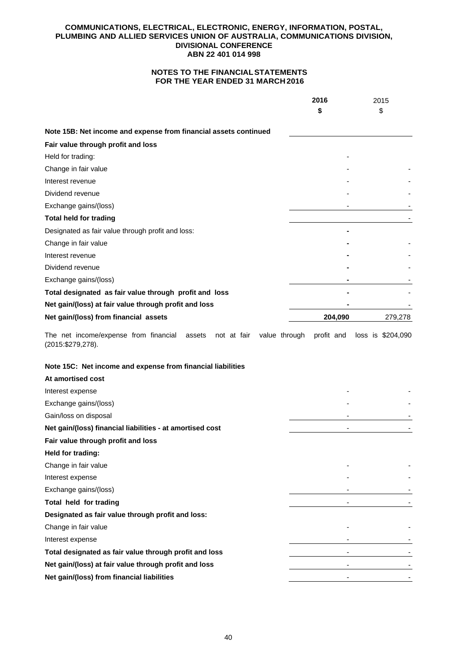# **NOTES TO THE FINANCIAL STATEMENTS FOR THE YEAR ENDED 31 MARCH 2016**

|                                                                  | 2016    | 2015<br>\$ |
|------------------------------------------------------------------|---------|------------|
|                                                                  |         |            |
| Note 15B: Net income and expense from financial assets continued |         |            |
| Fair value through profit and loss                               |         |            |
| Held for trading:                                                |         |            |
| Change in fair value                                             |         |            |
| Interest revenue                                                 |         |            |
| Dividend revenue                                                 |         |            |
| Exchange gains/(loss)                                            |         |            |
| <b>Total held for trading</b>                                    |         |            |
| Designated as fair value through profit and loss:                |         |            |
| Change in fair value                                             |         |            |
| Interest revenue                                                 |         |            |
| Dividend revenue                                                 |         |            |
| Exchange gains/(loss)                                            |         |            |
| Total designated as fair value through profit and loss           |         |            |
| Net gain/(loss) at fair value through profit and loss            |         |            |
| Net gain/(loss) from financial assets                            | 204,090 | 279,278    |

The net income/expense from financial assets not at fair value through profit and loss is \$204,090 (2015:\$279,278).

# **Note 15C: Net income and expense from financial liabilities**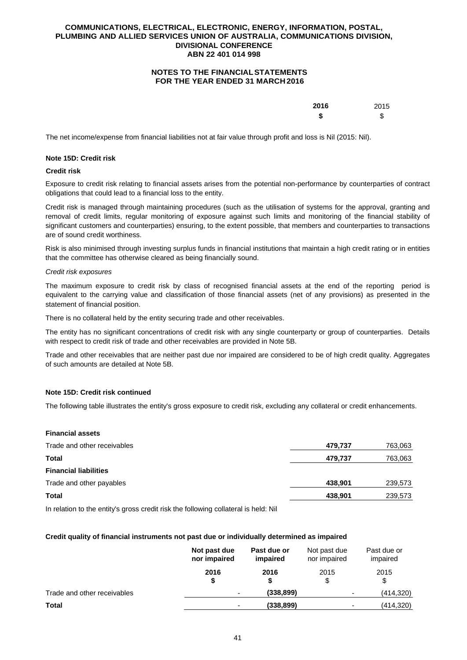# **NOTES TO THE FINANCIAL STATEMENTS FOR THE YEAR ENDED 31 MARCH 2016**

| 2016 | 2015 |
|------|------|
| \$   | \$   |

The net income/expense from financial liabilities not at fair value through profit and loss is Nil (2015: Nil).

### **Note 15D: Credit risk**

### **Credit risk**

Exposure to credit risk relating to financial assets arises from the potential non-performance by counterparties of contract obligations that could lead to a financial loss to the entity.

Credit risk is managed through maintaining procedures (such as the utilisation of systems for the approval, granting and removal of credit limits, regular monitoring of exposure against such limits and monitoring of the financial stability of significant customers and counterparties) ensuring, to the extent possible, that members and counterparties to transactions are of sound credit worthiness.

Risk is also minimised through investing surplus funds in financial institutions that maintain a high credit rating or in entities that the committee has otherwise cleared as being financially sound.

#### *Credit risk exposures*

The maximum exposure to credit risk by class of recognised financial assets at the end of the reporting period is equivalent to the carrying value and classification of those financial assets (net of any provisions) as presented in the statement of financial position.

There is no collateral held by the entity securing trade and other receivables.

The entity has no significant concentrations of credit risk with any single counterparty or group of counterparties. Details with respect to credit risk of trade and other receivables are provided in Note 5B.

Trade and other receivables that are neither past due nor impaired are considered to be of high credit quality. Aggregates of such amounts are detailed at Note 5B.

## **Note 15D: Credit risk continued**

The following table illustrates the entity's gross exposure to credit risk, excluding any collateral or credit enhancements.

### **Financial assets**

| Trade and other receivables  | 479,737 | 763,063 |
|------------------------------|---------|---------|
| Total                        | 479,737 | 763,063 |
| <b>Financial liabilities</b> |         |         |
| Trade and other payables     | 438.901 | 239,573 |
| <b>Total</b>                 | 438,901 | 239,573 |
|                              |         |         |

In relation to the entity's gross credit risk the following collateral is held: Nil

### **Credit quality of financial instruments not past due or individually determined as impaired**

|                             | Not past due<br>nor impaired | Past due or<br>impaired | Not past due<br>nor impaired | Past due or<br>impaired |
|-----------------------------|------------------------------|-------------------------|------------------------------|-------------------------|
|                             | 2016<br>S                    | 2016                    | 2015<br>\$                   | 2015<br>\$              |
| Trade and other receivables | -                            | (338, 899)              | $\overline{\phantom{0}}$     | (414,320)               |
| Total                       | ۰                            | (338, 899)              | ٠                            | (414,320)               |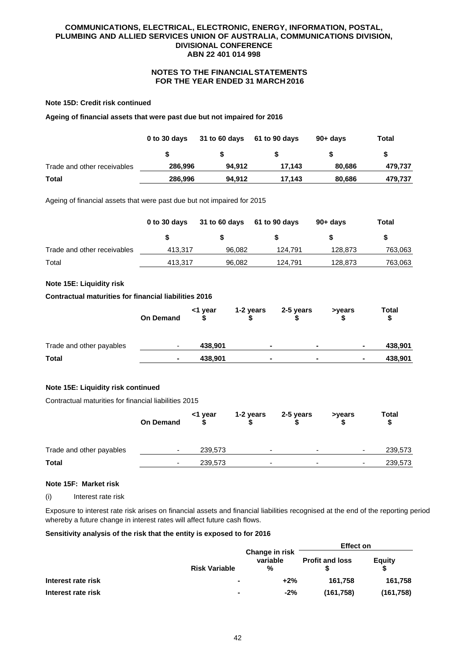# **NOTES TO THE FINANCIAL STATEMENTS FOR THE YEAR ENDED 31 MARCH 2016**

#### **Note 15D: Credit risk continued**

**Ageing of financial assets that were past due but not impaired for 2016** 

|                             | 0 to 30 days | 31 to 60 days | 61 to 90 days | $90 + days$ | Total   |
|-----------------------------|--------------|---------------|---------------|-------------|---------|
|                             |              |               |               |             |         |
| Trade and other receivables | 286.996      | 94.912        | 17.143        | 80.686      | 479,737 |
| <b>Total</b>                | 286,996      | 94,912        | 17.143        | 80,686      | 479,737 |

Ageing of financial assets that were past due but not impaired for 2015

|                             | 0 to 30 days | <b>31 to 60 days</b> | 61 to 90 days | 90+ davs | Total   |
|-----------------------------|--------------|----------------------|---------------|----------|---------|
|                             |              |                      |               |          |         |
| Trade and other receivables | 413.317      | 96.082               | 124.791       | 128.873  | 763,063 |
| Total                       | 413.317      | 96.082               | 124.791       | 128.873  | 763,063 |

## **Note 15E: Liquidity risk**

#### **Contractual maturities for financial liabilities 2016**

|                          | <b>On Demand</b> | <1 year | 1-2 years | 2-5 years      | >years         | Total   |
|--------------------------|------------------|---------|-----------|----------------|----------------|---------|
| Trade and other payables | ۰                | 438.901 |           | $\blacksquare$ | $\blacksquare$ | 438,901 |
| <b>Total</b>             |                  | 438,901 |           | $\blacksquare$ | ۰              | 438,901 |

### **Note 15E: Liquidity risk continued**

Contractual maturities for financial liabilities 2015

|                          | <b>On Demand</b> | <1 year | 1-2 years | 2-5 years | >years                   | <b>Total</b><br>\$                  |
|--------------------------|------------------|---------|-----------|-----------|--------------------------|-------------------------------------|
| Trade and other payables | -                | 239,573 | -         |           | $\overline{\phantom{0}}$ | 239,573<br>$\overline{\phantom{0}}$ |
| <b>Total</b>             | -                | 239,573 | -         | -         |                          | 239,573<br>$\overline{\phantom{0}}$ |

#### **Note 15F: Market risk**

(i) Interest rate risk

Exposure to interest rate risk arises on financial assets and financial liabilities recognised at the end of the reporting period whereby a future change in interest rates will affect future cash flows.

#### **Sensitivity analysis of the risk that the entity is exposed to for 2016**

|                    |                      |                                 | <b>Effect on</b>       |            |
|--------------------|----------------------|---------------------------------|------------------------|------------|
|                    | <b>Risk Variable</b> | Change in risk<br>variable<br>% | <b>Profit and loss</b> | Equity     |
| Interest rate risk |                      | $+2%$                           | 161.758                | 161.758    |
| Interest rate risk | ٠                    | $-2%$                           | (161.758)              | (161, 758) |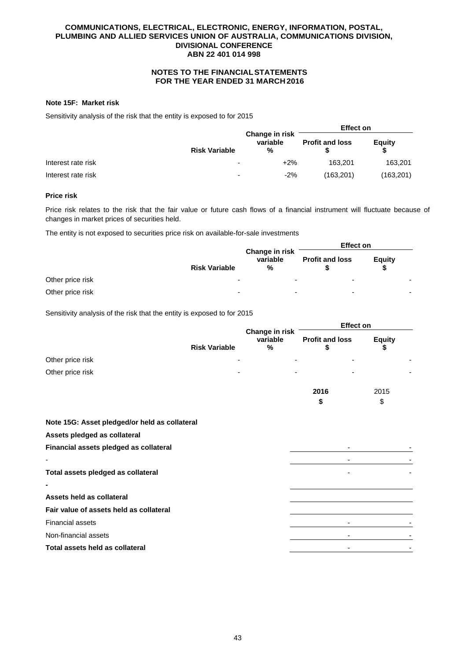# **NOTES TO THE FINANCIAL STATEMENTS FOR THE YEAR ENDED 31 MARCH 2016**

#### **Note 15F: Market risk**

Sensitivity analysis of the risk that the entity is exposed to for 2015

|                    |                      |                                 | <b>Effect on</b>       |            |
|--------------------|----------------------|---------------------------------|------------------------|------------|
|                    | <b>Risk Variable</b> | Change in risk<br>variable<br>% | <b>Profit and loss</b> | Equity     |
| Interest rate risk | -                    | $+2%$                           | 163.201                | 163.201    |
| Interest rate risk | -                    | $-2%$                           | (163,201)              | (163, 201) |

#### **Price risk**

Price risk relates to the risk that the fair value or future cash flows of a financial instrument will fluctuate because of changes in market prices of securities held.

The entity is not exposed to securities price risk on available-for-sale investments

|                  |                          |                                 | <b>Effect on</b>         |        |  |
|------------------|--------------------------|---------------------------------|--------------------------|--------|--|
|                  | <b>Risk Variable</b>     | Change in risk<br>variable<br>% | <b>Profit and loss</b>   | Equity |  |
| Other price risk | $\overline{\phantom{0}}$ | -                               | $\overline{\phantom{0}}$ |        |  |
| Other price risk | $\overline{\phantom{0}}$ | -                               | $\overline{\phantom{0}}$ | -      |  |

Sensitivity analysis of the risk that the entity is exposed to for 2015

|                                               |                      |                                             | <b>Effect on</b>             |                     |  |
|-----------------------------------------------|----------------------|---------------------------------------------|------------------------------|---------------------|--|
|                                               | <b>Risk Variable</b> | Change in risk<br>variable<br>$\frac{0}{0}$ | <b>Profit and loss</b><br>\$ | <b>Equity</b><br>\$ |  |
| Other price risk                              |                      |                                             |                              |                     |  |
| Other price risk                              |                      |                                             |                              |                     |  |
|                                               |                      |                                             | 2016                         | 2015                |  |
|                                               |                      |                                             | \$                           | \$                  |  |
| Note 15G: Asset pledged/or held as collateral |                      |                                             |                              |                     |  |
| Assets pledged as collateral                  |                      |                                             |                              |                     |  |
| Financial assets pledged as collateral        |                      |                                             |                              |                     |  |
|                                               |                      |                                             |                              |                     |  |
| Total assets pledged as collateral            |                      |                                             |                              |                     |  |
|                                               |                      |                                             |                              |                     |  |
| Assets held as collateral                     |                      |                                             |                              |                     |  |
| Fair value of assets held as collateral       |                      |                                             |                              |                     |  |
| Financial assets                              |                      |                                             |                              |                     |  |
| Non-financial assets                          |                      |                                             |                              |                     |  |
| Total assets held as collateral               |                      |                                             |                              |                     |  |
|                                               |                      |                                             |                              |                     |  |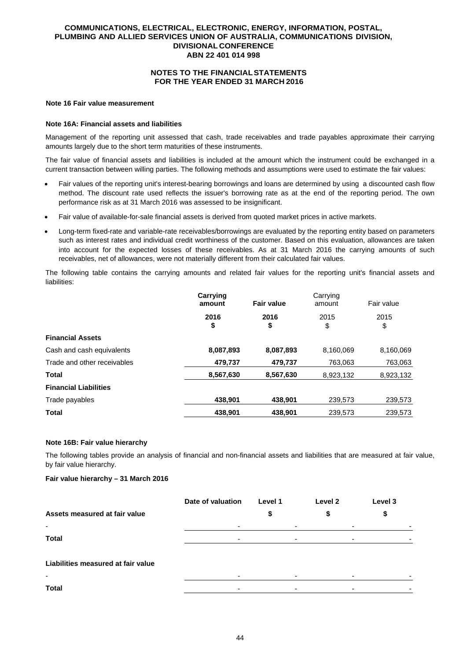# **NOTES TO THE FINANCIAL STATEMENTS FOR THE YEAR ENDED 31 MARCH 2016**

#### **Note 16 Fair value measurement**

#### **Note 16A: Financial assets and liabilities**

Management of the reporting unit assessed that cash, trade receivables and trade payables approximate their carrying amounts largely due to the short term maturities of these instruments.

The fair value of financial assets and liabilities is included at the amount which the instrument could be exchanged in a current transaction between willing parties. The following methods and assumptions were used to estimate the fair values:

- Fair values of the reporting unit's interest-bearing borrowings and loans are determined by using a discounted cash flow method. The discount rate used reflects the issuer's borrowing rate as at the end of the reporting period. The own performance risk as at 31 March 2016 was assessed to be insignificant.
- Fair value of available-for-sale financial assets is derived from quoted market prices in active markets.
- Long-term fixed-rate and variable-rate receivables/borrowings are evaluated by the reporting entity based on parameters such as interest rates and individual credit worthiness of the customer. Based on this evaluation, allowances are taken into account for the expected losses of these receivables. As at 31 March 2016 the carrying amounts of such receivables, net of allowances, were not materially different from their calculated fair values.

The following table contains the carrying amounts and related fair values for the reporting unit's financial assets and liabilities:

|                              | Carrying<br>amount | <b>Fair value</b> | Carrying<br>amount | Fair value |
|------------------------------|--------------------|-------------------|--------------------|------------|
|                              | 2016<br>\$         | 2016<br>\$        | 2015<br>\$         | 2015<br>\$ |
| <b>Financial Assets</b>      |                    |                   |                    |            |
| Cash and cash equivalents    | 8,087,893          | 8,087,893         | 8,160,069          | 8,160,069  |
| Trade and other receivables  | 479,737            | 479,737           | 763,063            | 763,063    |
| <b>Total</b>                 | 8,567,630          | 8,567,630         | 8,923,132          | 8,923,132  |
| <b>Financial Liabilities</b> |                    |                   |                    |            |
| Trade payables               | 438,901            | 438,901           | 239,573            | 239,573    |
| <b>Total</b>                 | 438.901            | 438.901           | 239,573            | 239,573    |

#### **Note 16B: Fair value hierarchy**

The following tables provide an analysis of financial and non-financial assets and liabilities that are measured at fair value, by fair value hierarchy.

## **Fair value hierarchy – 31 March 2016**

|                                    | Date of valuation        | Level 1 | Level 2 | Level 3 |
|------------------------------------|--------------------------|---------|---------|---------|
| Assets measured at fair value      |                          |         |         |         |
| $\overline{\phantom{a}}$           | $\overline{\phantom{a}}$ |         |         |         |
| <b>Total</b>                       | $\overline{\phantom{0}}$ |         | -       |         |
| Liabilities measured at fair value |                          |         |         |         |
| ٠                                  |                          |         | ۰       |         |
| Total                              |                          |         |         |         |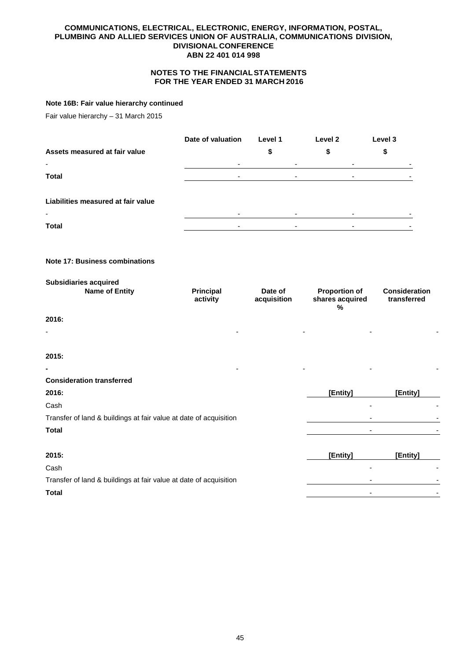# **NOTES TO THE FINANCIAL STATEMENTS FOR THE YEAR ENDED 31 MARCH 2016**

### **Note 16B: Fair value hierarchy continued**

Fair value hierarchy – 31 March 2015

|                                                                   | Date of valuation            | Level 1                  | Level 2                                      | Level 3                             |
|-------------------------------------------------------------------|------------------------------|--------------------------|----------------------------------------------|-------------------------------------|
| Assets measured at fair value                                     |                              | \$                       | \$                                           | \$                                  |
| $\blacksquare$                                                    | $\blacksquare$               | $\overline{\phantom{a}}$ | $\overline{\phantom{a}}$                     |                                     |
| <b>Total</b>                                                      | $\overline{\phantom{a}}$     | $\overline{\phantom{a}}$ | $\blacksquare$                               |                                     |
| Liabilities measured at fair value                                |                              |                          |                                              |                                     |
| <b>Total</b>                                                      | $\blacksquare$               | $\blacksquare$           | $\sim$                                       |                                     |
| <b>Note 17: Business combinations</b>                             |                              |                          |                                              |                                     |
| <b>Subsidiaries acquired</b><br><b>Name of Entity</b>             | <b>Principal</b><br>activity | Date of<br>acquisition   | <b>Proportion of</b><br>shares acquired<br>% | <b>Consideration</b><br>transferred |
| 2016:                                                             |                              |                          |                                              |                                     |
|                                                                   |                              |                          |                                              |                                     |
| 2015:                                                             |                              |                          |                                              |                                     |
|                                                                   |                              |                          |                                              |                                     |
| <b>Consideration transferred</b>                                  |                              |                          |                                              |                                     |
| 2016:                                                             |                              |                          | [Entity]                                     | [Entity]                            |
| Cash                                                              |                              |                          |                                              |                                     |
| Transfer of land & buildings at fair value at date of acquisition |                              |                          |                                              |                                     |
| <b>Total</b>                                                      |                              |                          |                                              |                                     |
|                                                                   |                              |                          |                                              |                                     |

| 2015:                                                             | [Entity] | [Entity] |
|-------------------------------------------------------------------|----------|----------|
| Cash                                                              |          |          |
| Transfer of land & buildings at fair value at date of acquisition | ۰        |          |
| <b>Total</b>                                                      | -        |          |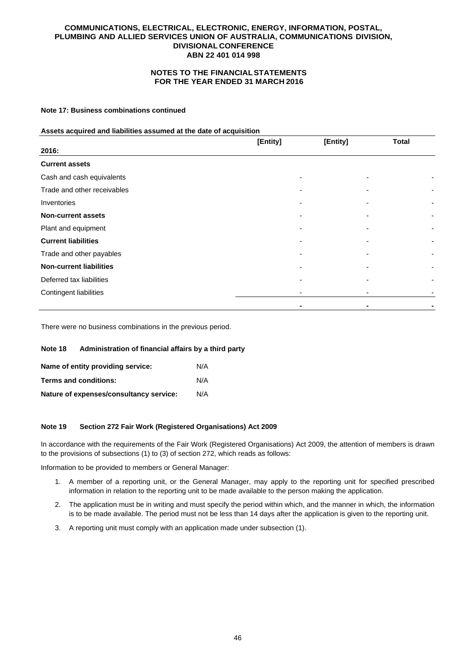# **NOTES TO THE FINANCIAL STATEMENTS FOR THE YEAR ENDED 31 MARCH 2016**

## **Note 17: Business combinations continued**

#### **Assets acquired and liabilities assumed at the date of acquisition**

|                                | [Entity] | [Entity] | <b>Total</b> |
|--------------------------------|----------|----------|--------------|
| 2016:                          |          |          |              |
| <b>Current assets</b>          |          |          |              |
| Cash and cash equivalents      |          |          |              |
| Trade and other receivables    |          |          |              |
| Inventories                    |          |          |              |
| <b>Non-current assets</b>      |          |          |              |
| Plant and equipment            |          |          |              |
| <b>Current liabilities</b>     |          |          |              |
| Trade and other payables       |          |          |              |
| <b>Non-current liabilities</b> |          |          |              |
| Deferred tax liabilities       |          |          |              |
| <b>Contingent liabilities</b>  |          |          |              |
|                                |          |          |              |

There were no business combinations in the previous period.

## **Note 18 Administration of financial affairs by a third party**

| Name of entity providing service:       | N/A |
|-----------------------------------------|-----|
| Terms and conditions:                   | N/A |
| Nature of expenses/consultancy service: | N/A |

### **Note 19 Section 272 Fair Work (Registered Organisations) Act 2009**

In accordance with the requirements of the Fair Work (Registered Organisations) Act 2009, the attention of members is drawn to the provisions of subsections (1) to (3) of section 272, which reads as follows:

Information to be provided to members or General Manager:

- 1. A member of a reporting unit, or the General Manager, may apply to the reporting unit for specified prescribed information in relation to the reporting unit to be made available to the person making the application.
- 2. The application must be in writing and must specify the period within which, and the manner in which, the information is to be made available. The period must not be less than 14 days after the application is given to the reporting unit.
- 3. A reporting unit must comply with an application made under subsection (1).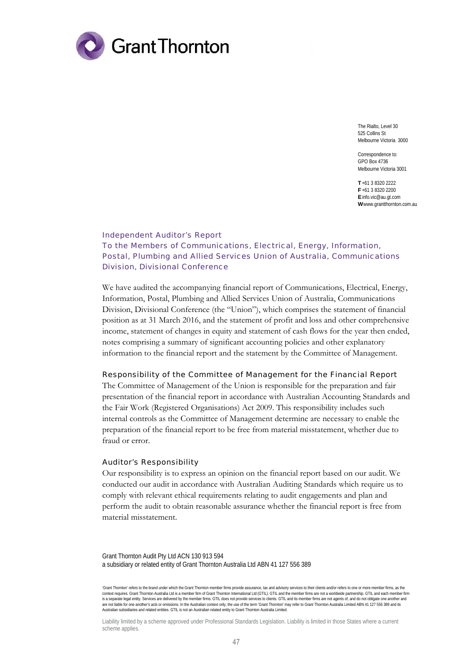

The Rialto, Level 30 525 Collins St Melbourne Victoria 3000

Correspondence to: GPO Box 4736 Melbourne Victoria 3001

**T** +61 3 8320 2222 **F** +61 3 8320 2200 **E** info.vic@au.gt.com **W** www.grantthornton.com.au

# Independent Auditor's Report To the Members of Communications, Electrical, Energy, Information, Postal, Plumbing and Allied Services Union of Australia, Communications Division, Divisional Conference

We have audited the accompanying financial report of Communications, Electrical, Energy, Information, Postal, Plumbing and Allied Services Union of Australia, Communications Division, Divisional Conference (the "Union"), which comprises the statement of financial position as at 31 March 2016, and the statement of profit and loss and other comprehensive income, statement of changes in equity and statement of cash flows for the year then ended, notes comprising a summary of significant accounting policies and other explanatory information to the financial report and the statement by the Committee of Management.

### Responsibility of the Committee of Management for the Financial Report

The Committee of Management of the Union is responsible for the preparation and fair presentation of the financial report in accordance with Australian Accounting Standards and the Fair Work (Registered Organisations) Act 2009. This responsibility includes such internal controls as the Committee of Management determine are necessary to enable the preparation of the financial report to be free from material misstatement, whether due to fraud or error.

# Auditor's Responsibility

Our responsibility is to express an opinion on the financial report based on our audit. We conducted our audit in accordance with Australian Auditing Standards which require us to comply with relevant ethical requirements relating to audit engagements and plan and perform the audit to obtain reasonable assurance whether the financial report is free from material misstatement.

Grant Thornton Audit Pty Ltd ACN 130 913 594 a subsidiary or related entity of Grant Thornton Australia Ltd ABN 41 127 556 389

Liability limited by a scheme approved under Professional Standards Legislation. Liability is limited in those States where a current scheme applies.

<sup>&#</sup>x27;Grant Thornton' refers to the brand under which the Grant Thornton member firms provide assurance, tax and advisory services to their clients and/or refers to one or more member firms, as the context requires. Grant Thornton Australia Ltd is a member firm of Grant Thornton International Ltd (GTIL). GTIL and the member firms are not a worldwide partnership. GTIL and each member firm is a separate legal entity. Services are delivered by the member firms. GTIL does not provide services to clients. GTIL and its member firms are not agents of, and do not obligate one another and are not liable for one another's acts or omissions. In the Australian context only, the use of the term 'Grant Thornton' may refer to Grant Thornton Australia Limited ABN 41 127 556 389 and its<br>Australian subsidiaries and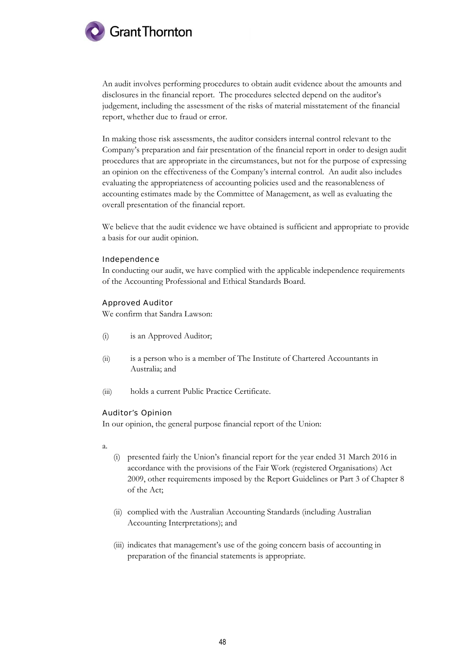

An audit involves performing procedures to obtain audit evidence about the amounts and disclosures in the financial report. The procedures selected depend on the auditor's judgement, including the assessment of the risks of material misstatement of the financial report, whether due to fraud or error.

In making those risk assessments, the auditor considers internal control relevant to the Company's preparation and fair presentation of the financial report in order to design audit procedures that are appropriate in the circumstances, but not for the purpose of expressing an opinion on the effectiveness of the Company's internal control. An audit also includes evaluating the appropriateness of accounting policies used and the reasonableness of accounting estimates made by the Committee of Management, as well as evaluating the overall presentation of the financial report.

We believe that the audit evidence we have obtained is sufficient and appropriate to provide a basis for our audit opinion.

## Independence

In conducting our audit, we have complied with the applicable independence requirements of the Accounting Professional and Ethical Standards Board.

## Approved Auditor

We confirm that Sandra Lawson:

- (i) is an Approved Auditor;
- (ii) is a person who is a member of The Institute of Chartered Accountants in Australia; and
- (iii) holds a current Public Practice Certificate.

## Auditor's Opinion

In our opinion, the general purpose financial report of the Union:

- a.
- (i) presented fairly the Union's financial report for the year ended 31 March 2016 in accordance with the provisions of the Fair Work (registered Organisations) Act 2009, other requirements imposed by the Report Guidelines or Part 3 of Chapter 8 of the Act;
- (ii) complied with the Australian Accounting Standards (including Australian Accounting Interpretations); and
- (iii) indicates that management's use of the going concern basis of accounting in preparation of the financial statements is appropriate.